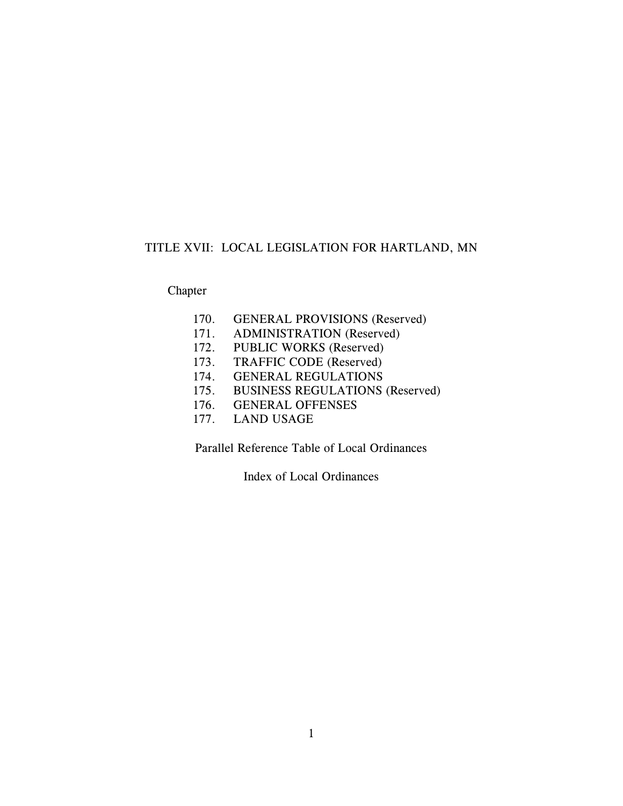# TITLE XVII: LOCAL LEGISLATION FOR HARTLAND, MN

# Chapter

| 170. | <b>GENERAL PROVISIONS (Reserved)</b>   |
|------|----------------------------------------|
| 171. | <b>ADMINISTRATION (Reserved)</b>       |
| 172. | <b>PUBLIC WORKS (Reserved)</b>         |
| 173. | <b>TRAFFIC CODE (Reserved)</b>         |
| 174. | <b>GENERAL REGULATIONS</b>             |
| 175. | <b>BUSINESS REGULATIONS (Reserved)</b> |
| 176. | <b>GENERAL OFFENSES</b>                |
| 177. | <b>LAND USAGE</b>                      |
|      |                                        |

Parallel Reference Table of Local Ordinances

Index of Local Ordinances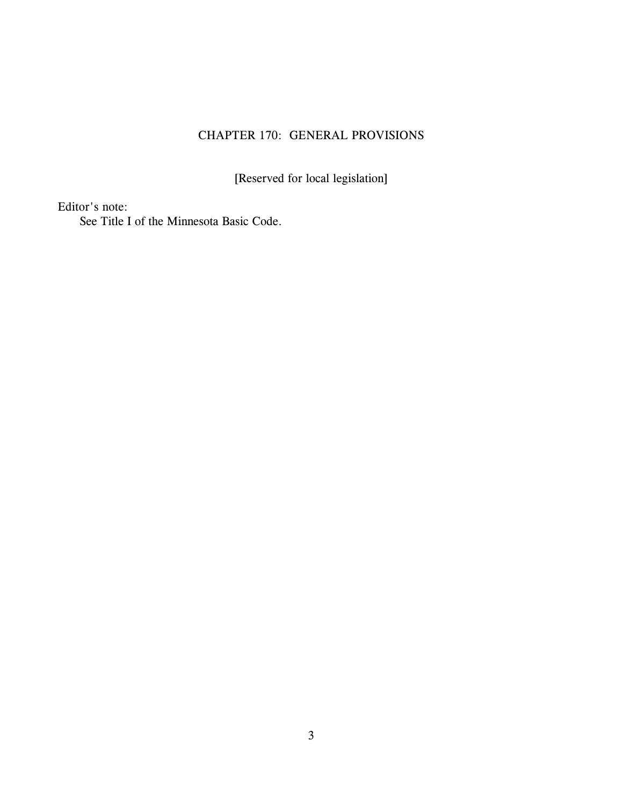# CHAPTER 170: GENERAL PROVISIONS

[Reserved for local legislation]

*Editor's note:*

*See Title I of the Minnesota Basic Code.*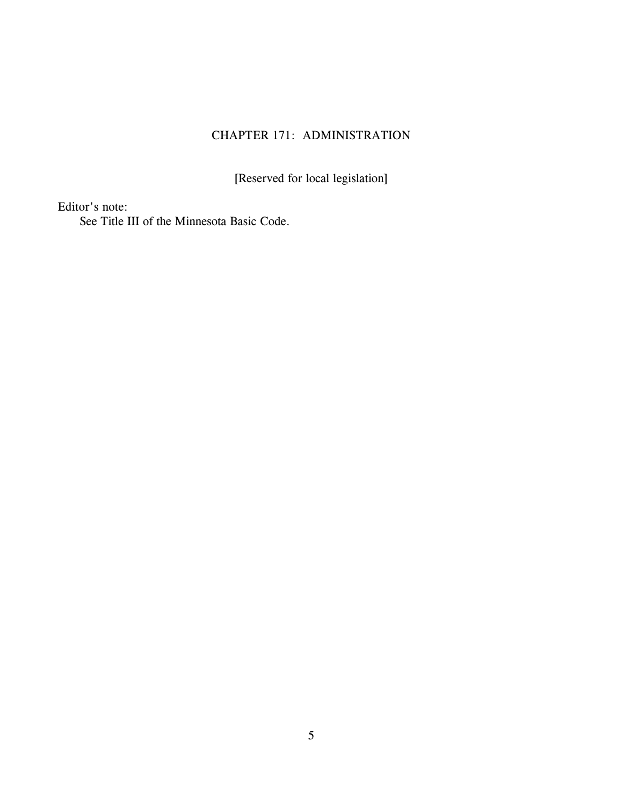# CHAPTER 171: ADMINISTRATION

[Reserved for local legislation]

*Editor's note:*

*See Title III of the Minnesota Basic Code.*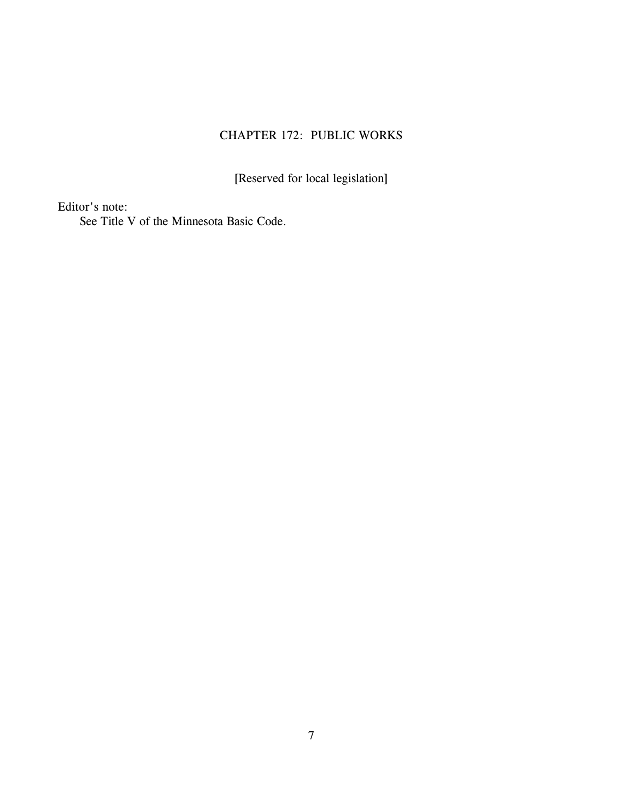# CHAPTER 172: PUBLIC WORKS

[Reserved for local legislation]

*Editor's note:*

*See Title V of the Minnesota Basic Code.*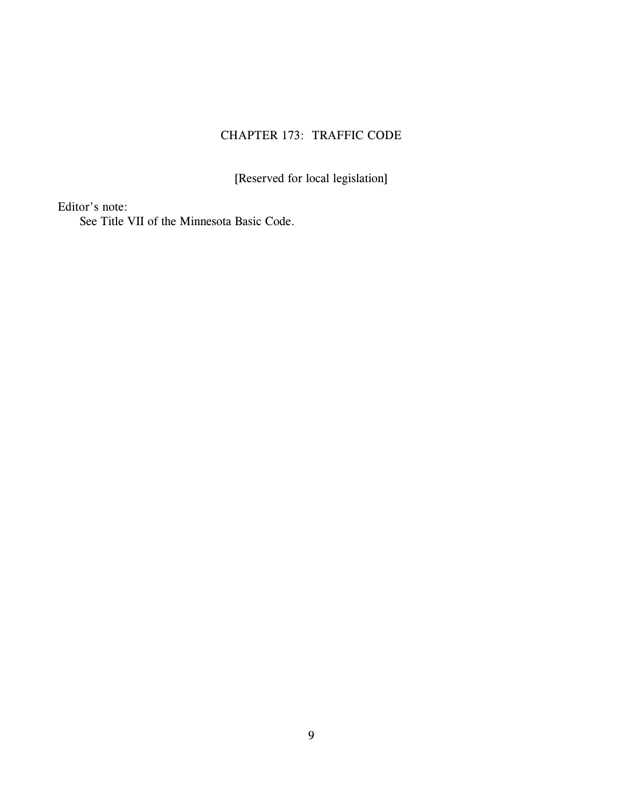# CHAPTER 173: TRAFFIC CODE

[Reserved for local legislation]

*Editor's note:*

*See Title VII of the Minnesota Basic Code.*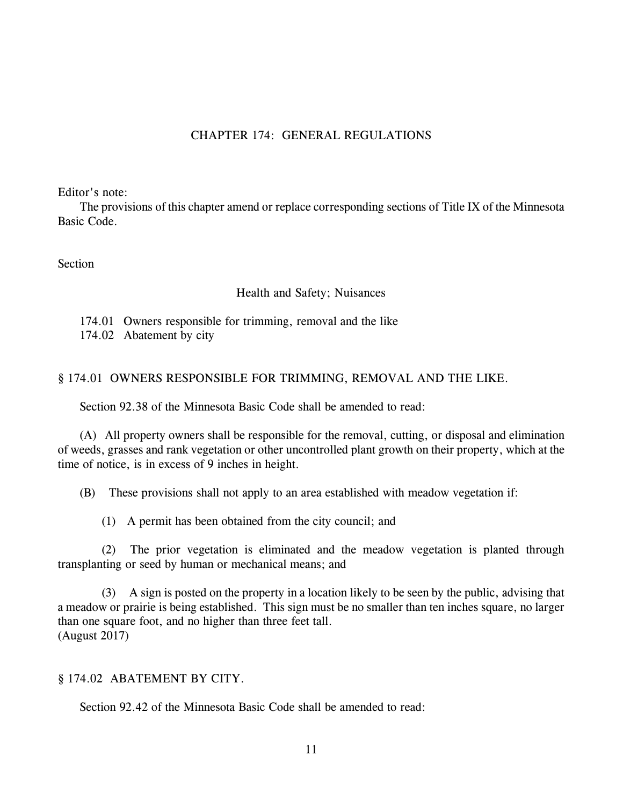# CHAPTER 174: GENERAL REGULATIONS

*Editor's note:*

*The provisions of this chapter amend or replace corresponding sections of Title IX of the Minnesota Basic Code.*

**Section** 

## *Health and Safety; Nuisances*

174.01 Owners responsible for trimming, removal and the like

174.02 Abatement by city

# § 174.01 OWNERS RESPONSIBLE FOR TRIMMING, REMOVAL AND THE LIKE.

Section 92.38 of the Minnesota Basic Code shall be amended to read:

(A) All property owners shall be responsible for the removal, cutting, or disposal and elimination of weeds, grasses and rank vegetation or other uncontrolled plant growth on their property, which at the time of notice, is in excess of 9 inches in height.

(B) These provisions shall not apply to an area established with meadow vegetation if:

(1) A permit has been obtained from the city council; and

(2) The prior vegetation is eliminated and the meadow vegetation is planted through transplanting or seed by human or mechanical means; and

(3) A sign is posted on the property in a location likely to be seen by the public, advising that a meadow or prairie is being established. This sign must be no smaller than ten inches square, no larger than one square foot, and no higher than three feet tall. (August 2017)

# § 174.02 ABATEMENT BY CITY.

Section 92.42 of the Minnesota Basic Code shall be amended to read: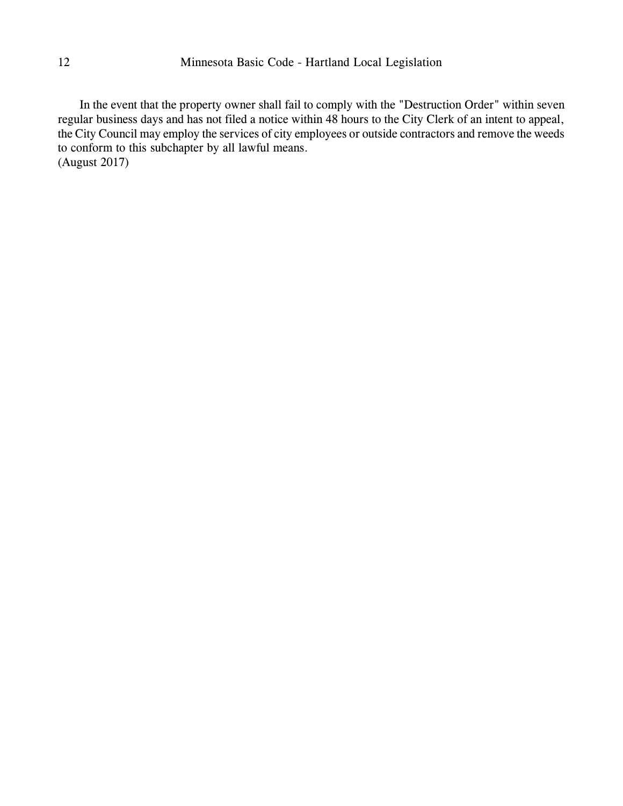In the event that the property owner shall fail to comply with the "Destruction Order" within seven regular business days and has not filed a notice within 48 hours to the City Clerk of an intent to appeal, the City Council may employ the services of city employees or outside contractors and remove the weeds to conform to this subchapter by all lawful means. (August 2017)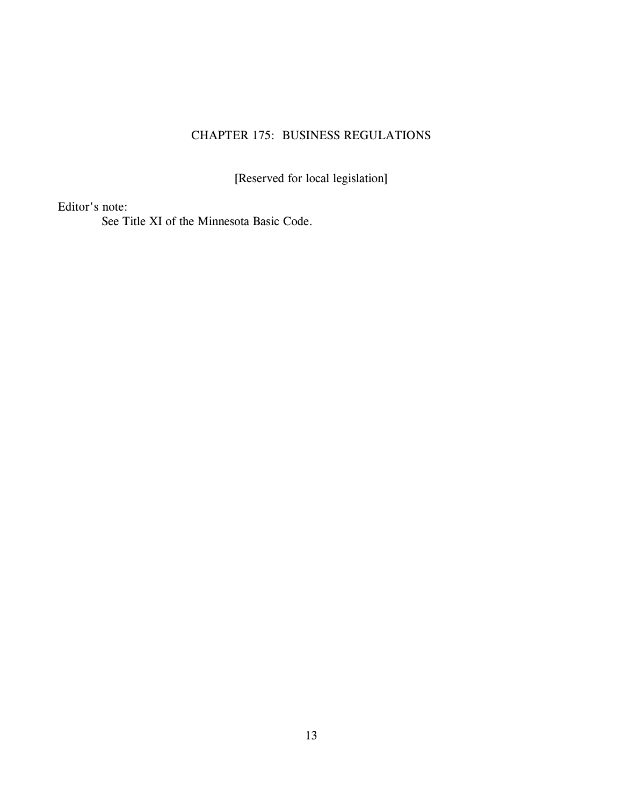# CHAPTER 175: BUSINESS REGULATIONS

[Reserved for local legislation]

*Editor's note:*

*See Title XI of the Minnesota Basic Code.*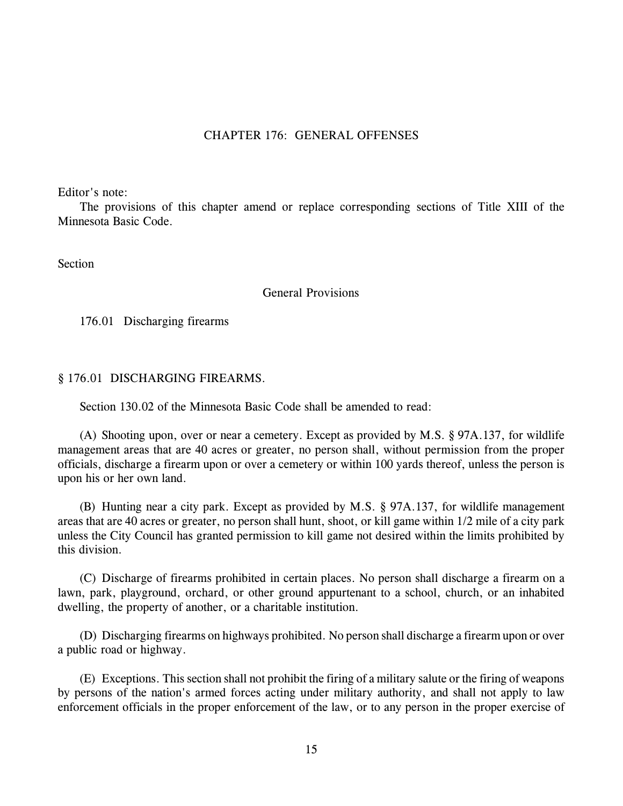## CHAPTER 176: GENERAL OFFENSES

*Editor's note:*

*The provisions of this chapter amend or replace corresponding sections of Title XIII of the Minnesota Basic Code.*

Section

## *General Provisions*

176.01 Discharging firearms

#### § 176.01 DISCHARGING FIREARMS.

Section 130.02 of the Minnesota Basic Code shall be amended to read:

(A) *Shooting upon, over or near a cemetery.* Except as provided by M.S. § 97A.137, for wildlife management areas that are 40 acres or greater, no person shall, without permission from the proper officials, discharge a firearm upon or over a cemetery or within 100 yards thereof, unless the person is upon his or her own land.

(B) *Hunting near a city park.* Except as provided by M.S. § 97A.137, for wildlife management areas that are 40 acres or greater, no person shall hunt, shoot, or kill game within 1/2 mile of a city park unless the City Council has granted permission to kill game not desired within the limits prohibited by this division.

(C) *Discharge of firearms prohibited in certain places.* No person shall discharge a firearm on a lawn, park, playground, orchard, or other ground appurtenant to a school, church, or an inhabited dwelling, the property of another, or a charitable institution.

(D) *Discharging firearms on highways prohibited.* No person shall discharge a firearm upon or over a public road or highway.

(E) *Exceptions.* This section shall not prohibit the firing of a military salute or the firing of weapons by persons of the nation's armed forces acting under military authority, and shall not apply to law enforcement officials in the proper enforcement of the law, or to any person in the proper exercise of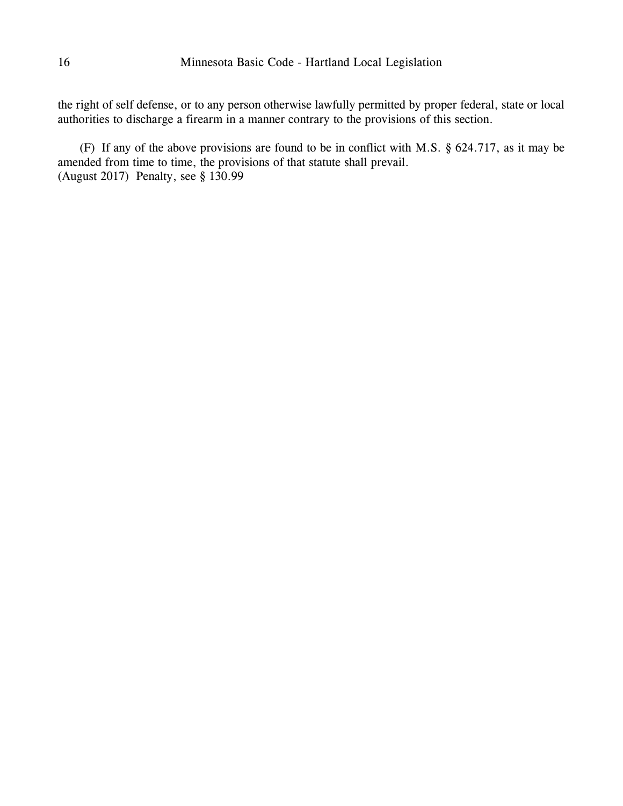the right of self defense, or to any person otherwise lawfully permitted by proper federal, state or local authorities to discharge a firearm in a manner contrary to the provisions of this section.

(F) If any of the above provisions are found to be in conflict with M.S. § 624.717, as it may be amended from time to time, the provisions of that statute shall prevail. (August 2017) Penalty, see § 130.99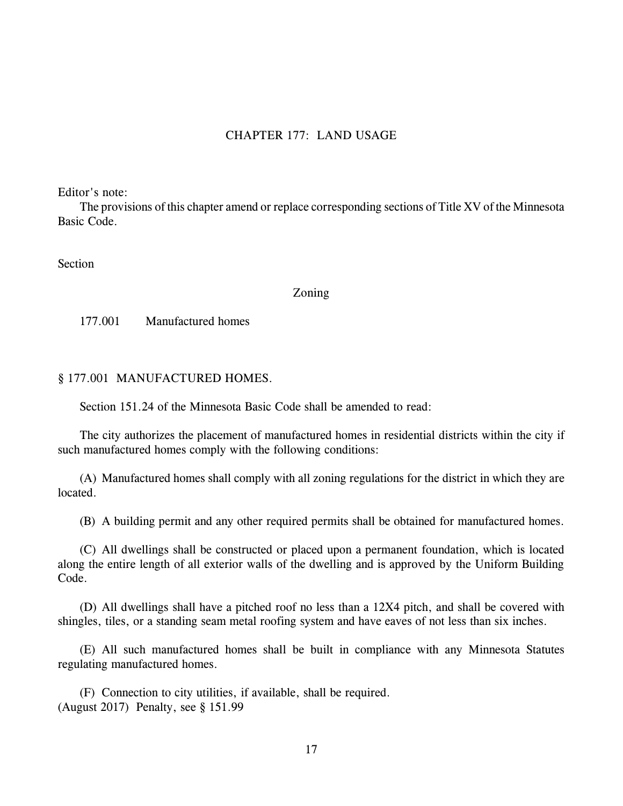# CHAPTER 177: LAND USAGE

*Editor's note:*

*The provisions of this chapter amend or replace corresponding sections of Title XV of the Minnesota Basic Code.*

Section

## *Zoning*

177.001 Manufactured homes

## § 177.001 MANUFACTURED HOMES.

Section 151.24 of the Minnesota Basic Code shall be amended to read:

The city authorizes the placement of manufactured homes in residential districts within the city if such manufactured homes comply with the following conditions:

(A) Manufactured homes shall comply with all zoning regulations for the district in which they are located.

(B) A building permit and any other required permits shall be obtained for manufactured homes.

(C) All dwellings shall be constructed or placed upon a permanent foundation, which is located along the entire length of all exterior walls of the dwelling and is approved by the Uniform Building Code.

(D) All dwellings shall have a pitched roof no less than a 12X4 pitch, and shall be covered with shingles, tiles, or a standing seam metal roofing system and have eaves of not less than six inches.

(E) All such manufactured homes shall be built in compliance with any Minnesota Statutes regulating manufactured homes.

(F) Connection to city utilities, if available, shall be required. (August 2017) Penalty, see § 151.99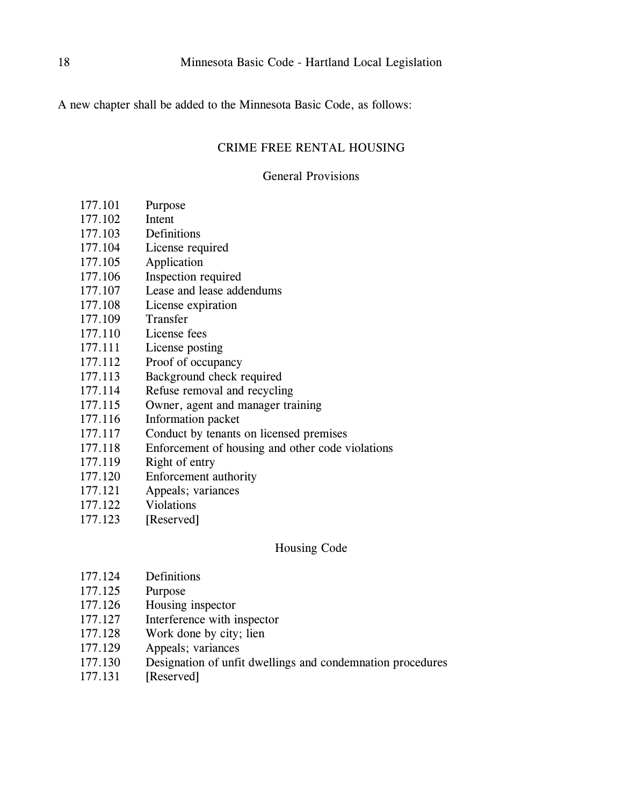A new chapter shall be added to the Minnesota Basic Code, as follows:

## CRIME FREE RENTAL HOUSING

## *General Provisions*

- 177.101 Purpose
- 177.102 Intent
- 177.103 Definitions
- 177.104 License required
- 177.105 Application
- 177.106 Inspection required
- 177.107 Lease and lease addendums
- 177.108 License expiration
- 177.109 Transfer
- 177.110 License fees
- 177.111 License posting
- 177.112 Proof of occupancy
- 177.113 Background check required
- 177.114 Refuse removal and recycling
- 177.115 Owner, agent and manager training
- 177.116 Information packet
- 177.117 Conduct by tenants on licensed premises
- 177.118 Enforcement of housing and other code violations
- 177.119 Right of entry
- 177.120 Enforcement authority
- 177.121 Appeals; variances
- 177.122 Violations
- 177.123 [Reserved]

## *Housing Code*

- 177.124 Definitions
- 177.125 Purpose
- 177.126 Housing inspector
- 177.127 Interference with inspector
- 177.128 Work done by city; lien
- 177.129 Appeals; variances
- 177.130 Designation of unfit dwellings and condemnation procedures
- 177.131 [Reserved]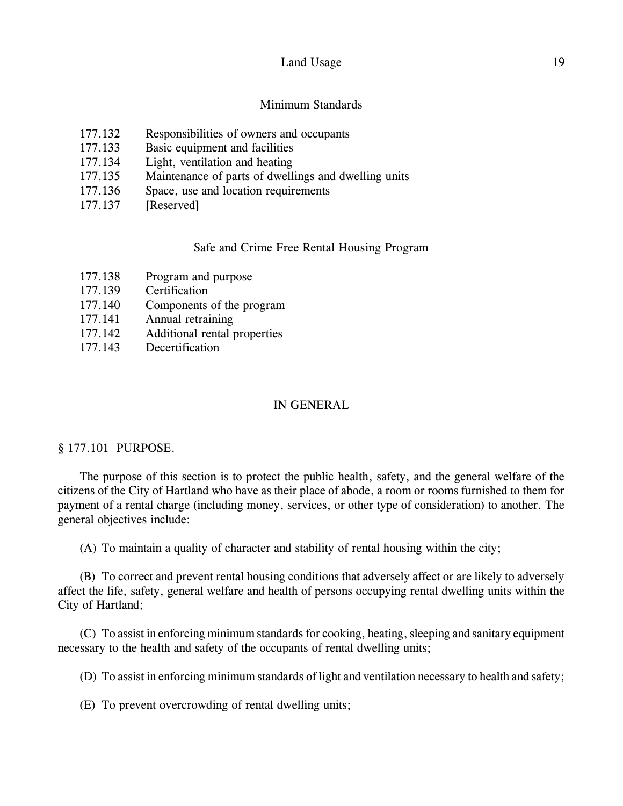## Land Usage 19

### *Minimum Standards*

- 177.132 Responsibilities of owners and occupants
- 177.133 Basic equipment and facilities
- 177.134 Light, ventilation and heating
- 177.135 Maintenance of parts of dwellings and dwelling units
- 177.136 Space, use and location requirements
- 177.137 [Reserved]

*Safe and Crime Free Rental Housing Program*

- 177.138 Program and purpose
- 177.139 Certification
- 177.140 Components of the program
- 177.141 Annual retraining<br>177.142 Additional rental r
- Additional rental properties
- 177.143 Decertification

## *IN GENERAL*

## § 177.101 PURPOSE.

The purpose of this section is to protect the public health, safety, and the general welfare of the citizens of the City of Hartland who have as their place of abode, a room or rooms furnished to them for payment of a rental charge (including money, services, or other type of consideration) to another. The general objectives include:

(A) To maintain a quality of character and stability of rental housing within the city;

(B) To correct and prevent rental housing conditions that adversely affect or are likely to adversely affect the life, safety, general welfare and health of persons occupying rental dwelling units within the City of Hartland;

(C) To assist in enforcing minimum standards for cooking, heating, sleeping and sanitary equipment necessary to the health and safety of the occupants of rental dwelling units;

(D) To assist in enforcing minimum standards of light and ventilation necessary to health and safety;

(E) To prevent overcrowding of rental dwelling units;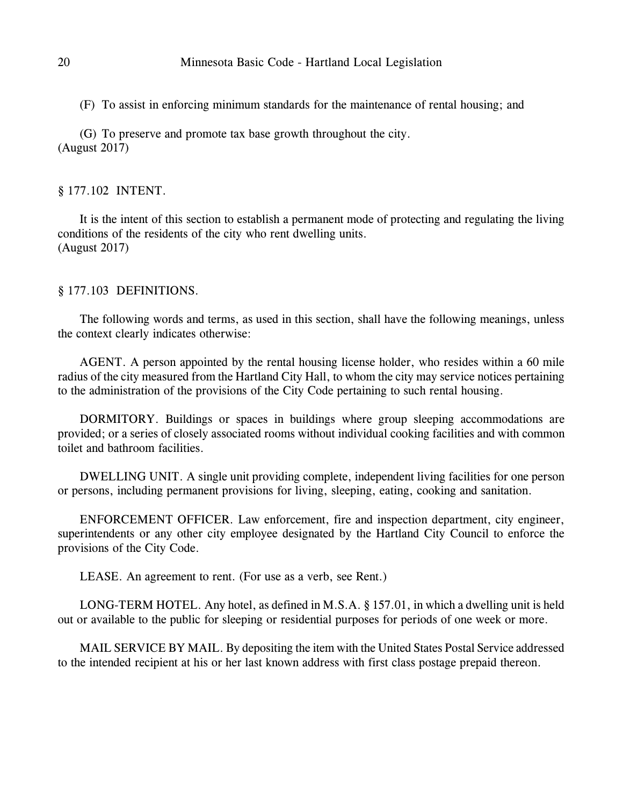(F) To assist in enforcing minimum standards for the maintenance of rental housing; and

(G) To preserve and promote tax base growth throughout the city. (August 2017)

## § 177.102 INTENT.

It is the intent of this section to establish a permanent mode of protecting and regulating the living conditions of the residents of the city who rent dwelling units. (August 2017)

## § 177.103 DEFINITIONS.

The following words and terms, as used in this section, shall have the following meanings, unless the context clearly indicates otherwise:

*AGENT.* A person appointed by the rental housing license holder, who resides within a 60 mile radius of the city measured from the Hartland City Hall, to whom the city may service notices pertaining to the administration of the provisions of the City Code pertaining to such rental housing.

*DORMITORY.* Buildings or spaces in buildings where group sleeping accommodations are provided; or a series of closely associated rooms without individual cooking facilities and with common toilet and bathroom facilities.

*DWELLING UNIT.* A single unit providing complete, independent living facilities for one person or persons, including permanent provisions for living, sleeping, eating, cooking and sanitation.

*ENFORCEMENT OFFICER.* Law enforcement, fire and inspection department, city engineer, superintendents or any other city employee designated by the Hartland City Council to enforce the provisions of the City Code.

*LEASE.* An agreement to rent. (For use as a verb, see Rent.)

*LONG-TERM HOTEL.* Any hotel, as defined in M.S.A. § 157.01, in which a dwelling unit is held out or available to the public for sleeping or residential purposes for periods of one week or more.

*MAIL SERVICE BY MAIL.* By depositing the item with the United States Postal Service addressed to the intended recipient at his or her last known address with first class postage prepaid thereon.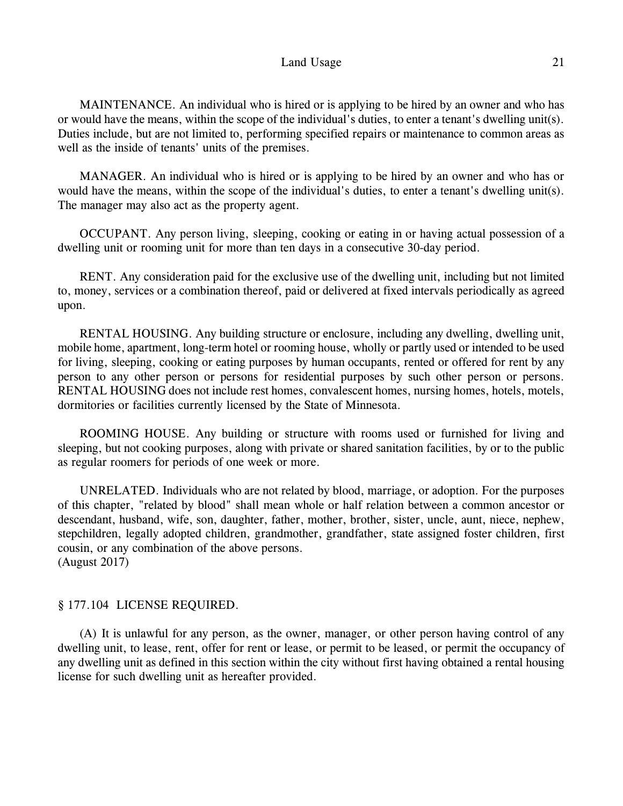#### Land Usage 21

*MAINTENANCE.* An individual who is hired or is applying to be hired by an owner and who has or would have the means, within the scope of the individual's duties, to enter a tenant's dwelling unit(s). Duties include, but are not limited to, performing specified repairs or maintenance to common areas as well as the inside of tenants' units of the premises.

*MANAGER.* An individual who is hired or is applying to be hired by an owner and who has or would have the means, within the scope of the individual's duties, to enter a tenant's dwelling unit(s). The manager may also act as the property agent.

*OCCUPANT.* Any person living, sleeping, cooking or eating in or having actual possession of a dwelling unit or rooming unit for more than ten days in a consecutive 30-day period.

*RENT.* Any consideration paid for the exclusive use of the dwelling unit, including but not limited to, money, services or a combination thereof, paid or delivered at fixed intervals periodically as agreed upon.

*RENTAL HOUSING.* Any building structure or enclosure, including any dwelling, dwelling unit, mobile home, apartment, long-term hotel or rooming house, wholly or partly used or intended to be used for living, sleeping, cooking or eating purposes by human occupants, rented or offered for rent by any person to any other person or persons for residential purposes by such other person or persons. *RENTAL HOUSING* does not include rest homes, convalescent homes, nursing homes, hotels, motels, dormitories or facilities currently licensed by the State of Minnesota.

*ROOMING HOUSE.* Any building or structure with rooms used or furnished for living and sleeping, but not cooking purposes, along with private or shared sanitation facilities, by or to the public as regular roomers for periods of one week or more.

*UNRELATED.* Individuals who are not related by blood, marriage, or adoption. For the purposes of this chapter, "related by blood" shall mean whole or half relation between a common ancestor or descendant, husband, wife, son, daughter, father, mother, brother, sister, uncle, aunt, niece, nephew, stepchildren, legally adopted children, grandmother, grandfather, state assigned foster children, first cousin, or any combination of the above persons. (August 2017)

#### § 177.104 LICENSE REQUIRED.

(A) It is unlawful for any person, as the owner, manager, or other person having control of any dwelling unit, to lease, rent, offer for rent or lease, or permit to be leased, or permit the occupancy of any dwelling unit as defined in this section within the city without first having obtained a rental housing license for such dwelling unit as hereafter provided.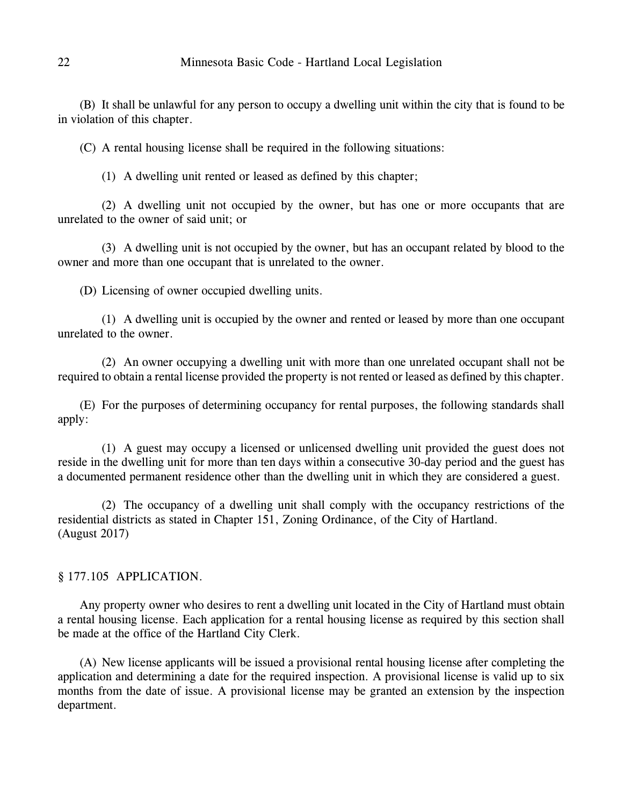(B) It shall be unlawful for any person to occupy a dwelling unit within the city that is found to be in violation of this chapter.

(C) A rental housing license shall be required in the following situations:

(1) A dwelling unit rented or leased as defined by this chapter;

(2) A dwelling unit not occupied by the owner, but has one or more occupants that are unrelated to the owner of said unit; or

(3) A dwelling unit is not occupied by the owner, but has an occupant related by blood to the owner and more than one occupant that is unrelated to the owner.

(D) *Licensing of owner occupied dwelling units.*

(1) A dwelling unit is occupied by the owner and rented or leased by more than one occupant unrelated to the owner.

(2) An owner occupying a dwelling unit with more than one unrelated occupant shall not be required to obtain a rental license provided the property is not rented or leased as defined by this chapter.

(E) For the purposes of determining occupancy for rental purposes, the following standards shall apply:

(1) A guest may occupy a licensed or unlicensed dwelling unit provided the guest does not reside in the dwelling unit for more than ten days within a consecutive 30-day period and the guest has a documented permanent residence other than the dwelling unit in which they are considered a guest.

(2) The occupancy of a dwelling unit shall comply with the occupancy restrictions of the residential districts as stated in Chapter 151, Zoning Ordinance, of the City of Hartland. (August 2017)

# § 177.105 APPLICATION.

Any property owner who desires to rent a dwelling unit located in the City of Hartland must obtain a rental housing license. Each application for a rental housing license as required by this section shall be made at the office of the Hartland City Clerk.

(A) New license applicants will be issued a provisional rental housing license after completing the application and determining a date for the required inspection. A provisional license is valid up to six months from the date of issue. A provisional license may be granted an extension by the inspection department.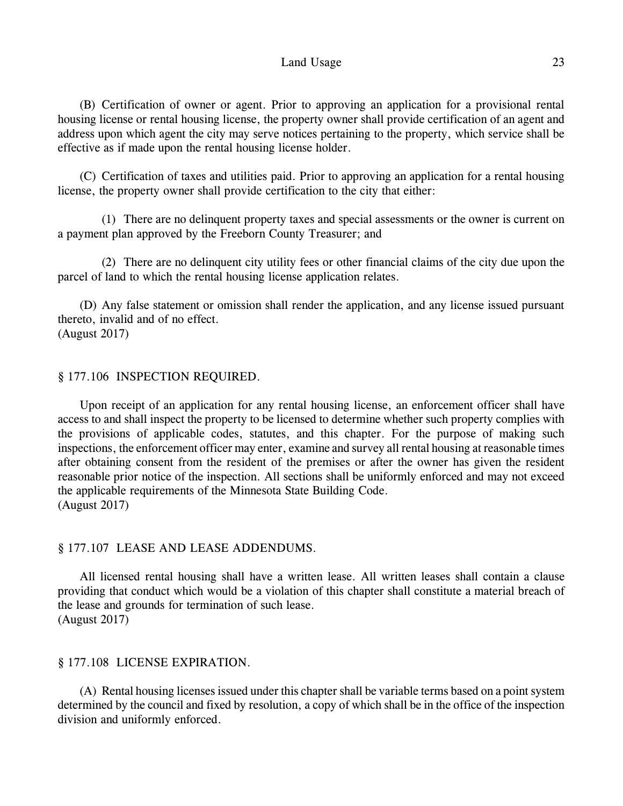#### Land Usage 23

(B) *Certification of owner or agent.* Prior to approving an application for a provisional rental housing license or rental housing license, the property owner shall provide certification of an agent and address upon which agent the city may serve notices pertaining to the property, which service shall be effective as if made upon the rental housing license holder.

(C) *Certification of taxes and utilities paid.* Prior to approving an application for a rental housing license, the property owner shall provide certification to the city that either:

(1) There are no delinquent property taxes and special assessments or the owner is current on a payment plan approved by the Freeborn County Treasurer; and

(2) There are no delinquent city utility fees or other financial claims of the city due upon the parcel of land to which the rental housing license application relates.

(D) Any false statement or omission shall render the application, and any license issued pursuant thereto, invalid and of no effect. (August 2017)

#### § 177.106 INSPECTION REQUIRED.

Upon receipt of an application for any rental housing license, an enforcement officer shall have access to and shall inspect the property to be licensed to determine whether such property complies with the provisions of applicable codes, statutes, and this chapter. For the purpose of making such inspections, the enforcement officer may enter, examine and survey all rental housing at reasonable times after obtaining consent from the resident of the premises or after the owner has given the resident reasonable prior notice of the inspection. All sections shall be uniformly enforced and may not exceed the applicable requirements of the Minnesota State Building Code. (August 2017)

#### § 177.107 LEASE AND LEASE ADDENDUMS.

All licensed rental housing shall have a written lease. All written leases shall contain a clause providing that conduct which would be a violation of this chapter shall constitute a material breach of the lease and grounds for termination of such lease. (August 2017)

#### § 177.108 LICENSE EXPIRATION.

(A) Rental housing licenses issued under this chapter shall be variable terms based on a point system determined by the council and fixed by resolution, a copy of which shall be in the office of the inspection division and uniformly enforced.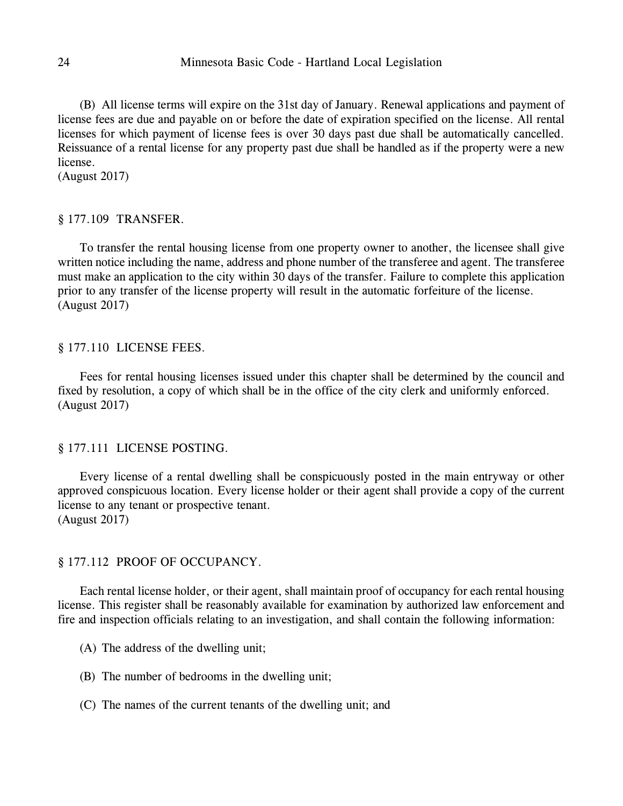(B) All license terms will expire on the 31st day of January. Renewal applications and payment of license fees are due and payable on or before the date of expiration specified on the license. All rental licenses for which payment of license fees is over 30 days past due shall be automatically cancelled. Reissuance of a rental license for any property past due shall be handled as if the property were a new license.

(August 2017)

## § 177.109 TRANSFER.

To transfer the rental housing license from one property owner to another, the licensee shall give written notice including the name, address and phone number of the transferee and agent. The transferee must make an application to the city within 30 days of the transfer. Failure to complete this application prior to any transfer of the license property will result in the automatic forfeiture of the license. (August 2017)

## § 177.110 LICENSE FEES.

Fees for rental housing licenses issued under this chapter shall be determined by the council and fixed by resolution, a copy of which shall be in the office of the city clerk and uniformly enforced. (August 2017)

#### § 177.111 LICENSE POSTING.

Every license of a rental dwelling shall be conspicuously posted in the main entryway or other approved conspicuous location. Every license holder or their agent shall provide a copy of the current license to any tenant or prospective tenant. (August 2017)

#### § 177.112 PROOF OF OCCUPANCY.

Each rental license holder, or their agent, shall maintain proof of occupancy for each rental housing license. This register shall be reasonably available for examination by authorized law enforcement and fire and inspection officials relating to an investigation, and shall contain the following information:

- (A) The address of the dwelling unit;
- (B) The number of bedrooms in the dwelling unit;
- (C) The names of the current tenants of the dwelling unit; and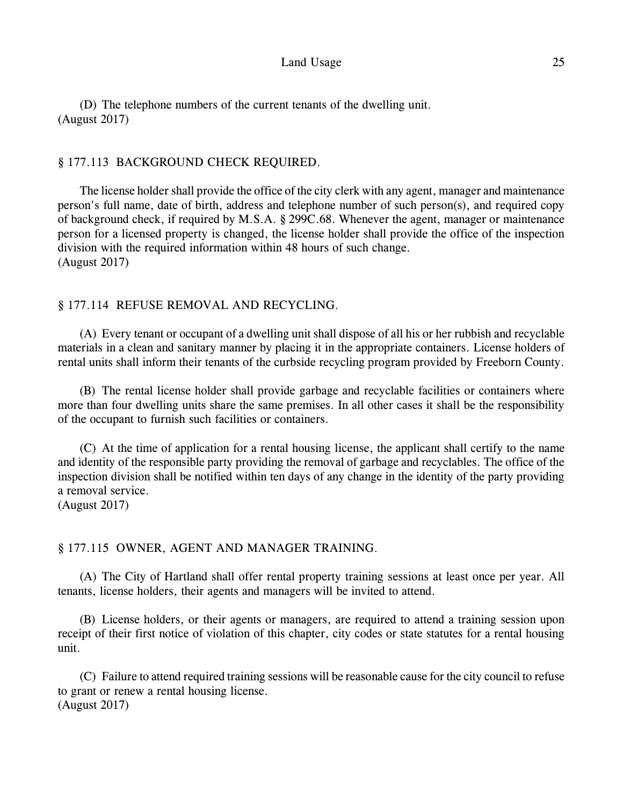(D) The telephone numbers of the current tenants of the dwelling unit. (August 2017)

# § 177.113 BACKGROUND CHECK REQUIRED.

The license holder shall provide the office of the city clerk with any agent, manager and maintenance person's full name, date of birth, address and telephone number of such person(s), and required copy of background check, if required by M.S.A. § 299C.68. Whenever the agent, manager or maintenance person for a licensed property is changed, the license holder shall provide the office of the inspection division with the required information within 48 hours of such change. (August 2017)

# § 177.114 REFUSE REMOVAL AND RECYCLING.

(A) Every tenant or occupant of a dwelling unit shall dispose of all his or her rubbish and recyclable materials in a clean and sanitary manner by placing it in the appropriate containers. License holders of rental units shall inform their tenants of the curbside recycling program provided by Freeborn County.

(B) The rental license holder shall provide garbage and recyclable facilities or containers where more than four dwelling units share the same premises. In all other cases it shall be the responsibility of the occupant to furnish such facilities or containers.

(C) At the time of application for a rental housing license, the applicant shall certify to the name and identity of the responsible party providing the removal of garbage and recyclables. The office of the inspection division shall be notified within ten days of any change in the identity of the party providing a removal service.

(August 2017)

# § 177.115 OWNER, AGENT AND MANAGER TRAINING.

(A) The City of Hartland shall offer rental property training sessions at least once per year. All tenants, license holders, their agents and managers will be invited to attend.

(B) License holders, or their agents or managers, are required to attend a training session upon receipt of their first notice of violation of this chapter, city codes or state statutes for a rental housing unit.

(C) Failure to attend required training sessions will be reasonable cause for the city council to refuse to grant or renew a rental housing license. (August 2017)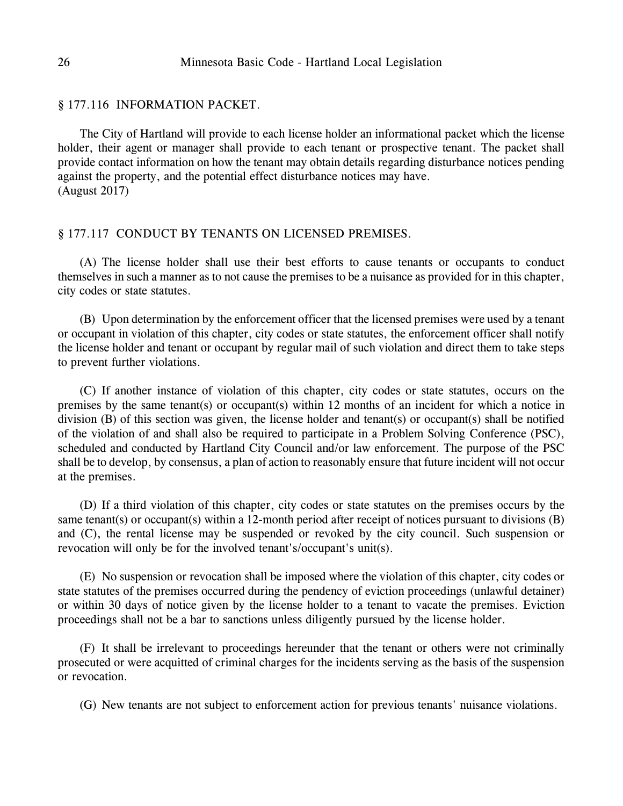#### § 177.116 INFORMATION PACKET.

The City of Hartland will provide to each license holder an informational packet which the license holder, their agent or manager shall provide to each tenant or prospective tenant. The packet shall provide contact information on how the tenant may obtain details regarding disturbance notices pending against the property, and the potential effect disturbance notices may have. (August 2017)

#### § 177.117 CONDUCT BY TENANTS ON LICENSED PREMISES.

(A) The license holder shall use their best efforts to cause tenants or occupants to conduct themselves in such a manner as to not cause the premises to be a nuisance as provided for in this chapter, city codes or state statutes.

(B) Upon determination by the enforcement officer that the licensed premises were used by a tenant or occupant in violation of this chapter, city codes or state statutes, the enforcement officer shall notify the license holder and tenant or occupant by regular mail of such violation and direct them to take steps to prevent further violations.

(C) If another instance of violation of this chapter, city codes or state statutes, occurs on the premises by the same tenant(s) or occupant(s) within 12 months of an incident for which a notice in division (B) of this section was given, the license holder and tenant(s) or occupant(s) shall be notified of the violation of and shall also be required to participate in a Problem Solving Conference (PSC), scheduled and conducted by Hartland City Council and/or law enforcement. The purpose of the PSC shall be to develop, by consensus, a plan of action to reasonably ensure that future incident will not occur at the premises.

(D) If a third violation of this chapter, city codes or state statutes on the premises occurs by the same tenant(s) or occupant(s) within a 12-month period after receipt of notices pursuant to divisions (B) and (C), the rental license may be suspended or revoked by the city council. Such suspension or revocation will only be for the involved tenant's/occupant's unit(s).

(E) No suspension or revocation shall be imposed where the violation of this chapter, city codes or state statutes of the premises occurred during the pendency of eviction proceedings (unlawful detainer) or within 30 days of notice given by the license holder to a tenant to vacate the premises. Eviction proceedings shall not be a bar to sanctions unless diligently pursued by the license holder.

(F) It shall be irrelevant to proceedings hereunder that the tenant or others were not criminally prosecuted or were acquitted of criminal charges for the incidents serving as the basis of the suspension or revocation.

(G) New tenants are not subject to enforcement action for previous tenants' nuisance violations.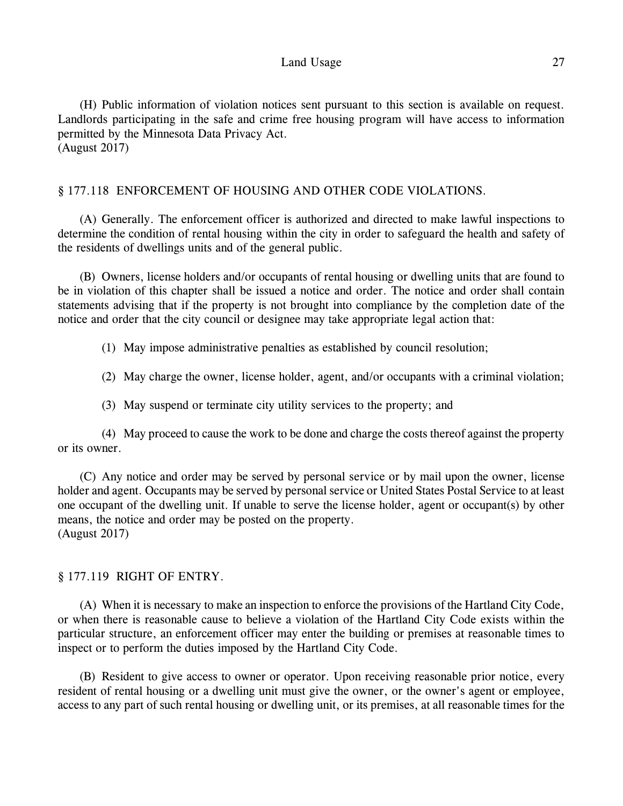#### Land Usage 27

(H) Public information of violation notices sent pursuant to this section is available on request. Landlords participating in the safe and crime free housing program will have access to information permitted by the Minnesota Data Privacy Act. (August 2017)

## § 177.118 ENFORCEMENT OF HOUSING AND OTHER CODE VIOLATIONS.

(A) *Generally.* The enforcement officer is authorized and directed to make lawful inspections to determine the condition of rental housing within the city in order to safeguard the health and safety of the residents of dwellings units and of the general public.

(B) Owners, license holders and/or occupants of rental housing or dwelling units that are found to be in violation of this chapter shall be issued a notice and order. The notice and order shall contain statements advising that if the property is not brought into compliance by the completion date of the notice and order that the city council or designee may take appropriate legal action that:

(1) May impose administrative penalties as established by council resolution;

(2) May charge the owner, license holder, agent, and/or occupants with a criminal violation;

(3) May suspend or terminate city utility services to the property; and

(4) May proceed to cause the work to be done and charge the costs thereof against the property or its owner.

(C) Any notice and order may be served by personal service or by mail upon the owner, license holder and agent. Occupants may be served by personal service or United States Postal Service to at least one occupant of the dwelling unit. If unable to serve the license holder, agent or occupant(s) by other means, the notice and order may be posted on the property. (August 2017)

## § 177.119 RIGHT OF ENTRY.

(A) When it is necessary to make an inspection to enforce the provisions of the Hartland City Code, or when there is reasonable cause to believe a violation of the Hartland City Code exists within the particular structure, an enforcement officer may enter the building or premises at reasonable times to inspect or to perform the duties imposed by the Hartland City Code.

(B) *Resident to give access to owner or operator.* Upon receiving reasonable prior notice, every resident of rental housing or a dwelling unit must give the owner, or the owner's agent or employee, access to any part of such rental housing or dwelling unit, or its premises, at all reasonable times for the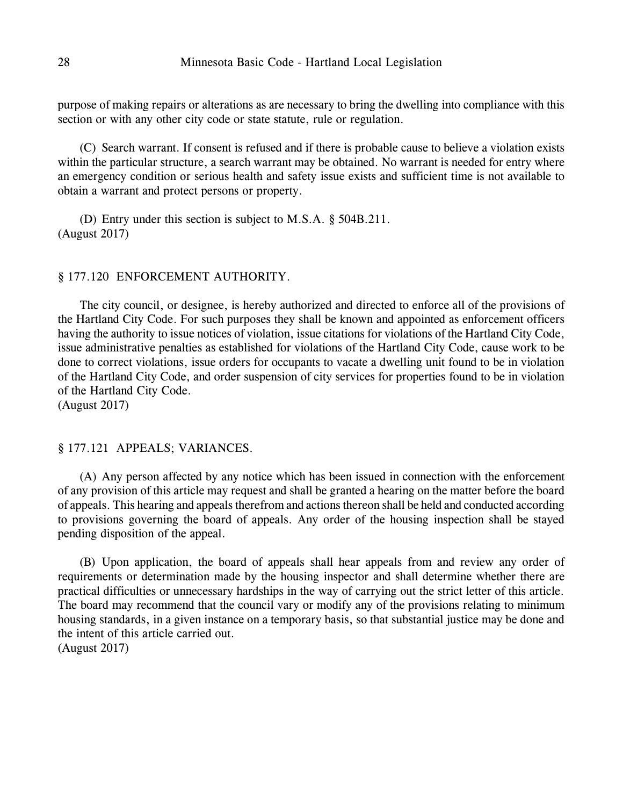purpose of making repairs or alterations as are necessary to bring the dwelling into compliance with this section or with any other city code or state statute, rule or regulation.

(C) *Search warrant.* If consent is refused and if there is probable cause to believe a violation exists within the particular structure, a search warrant may be obtained. No warrant is needed for entry where an emergency condition or serious health and safety issue exists and sufficient time is not available to obtain a warrant and protect persons or property.

(D) Entry under this section is subject to M.S.A. § 504B.211. (August 2017)

## § 177.120 ENFORCEMENT AUTHORITY.

The city council, or designee, is hereby authorized and directed to enforce all of the provisions of the Hartland City Code. For such purposes they shall be known and appointed as enforcement officers having the authority to issue notices of violation, issue citations for violations of the Hartland City Code, issue administrative penalties as established for violations of the Hartland City Code, cause work to be done to correct violations, issue orders for occupants to vacate a dwelling unit found to be in violation of the Hartland City Code, and order suspension of city services for properties found to be in violation of the Hartland City Code.

(August 2017)

## § 177.121 APPEALS; VARIANCES.

(A) Any person affected by any notice which has been issued in connection with the enforcement of any provision of this article may request and shall be granted a hearing on the matter before the board of appeals. This hearing and appeals therefrom and actions thereon shall be held and conducted according to provisions governing the board of appeals. Any order of the housing inspection shall be stayed pending disposition of the appeal.

(B) Upon application, the board of appeals shall hear appeals from and review any order of requirements or determination made by the housing inspector and shall determine whether there are practical difficulties or unnecessary hardships in the way of carrying out the strict letter of this article. The board may recommend that the council vary or modify any of the provisions relating to minimum housing standards, in a given instance on a temporary basis, so that substantial justice may be done and the intent of this article carried out. (August 2017)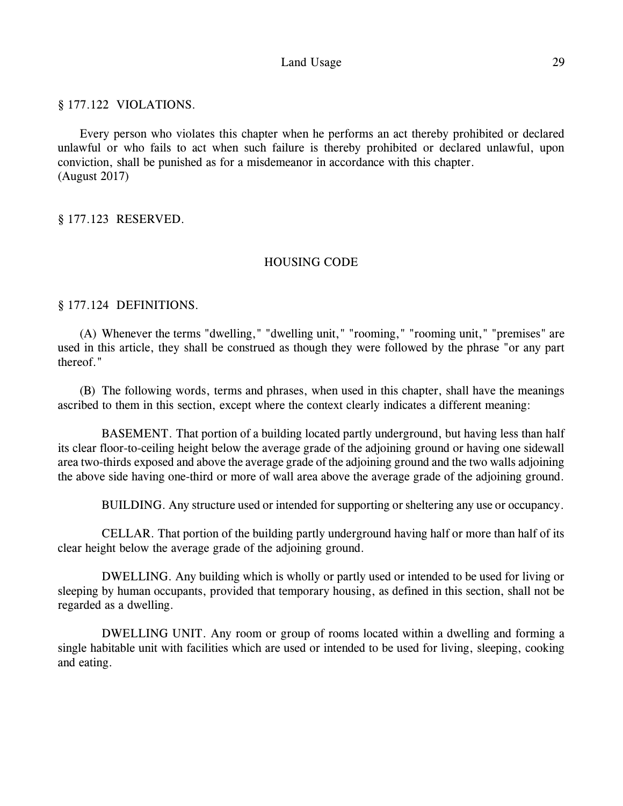## § 177.122 VIOLATIONS.

Every person who violates this chapter when he performs an act thereby prohibited or declared unlawful or who fails to act when such failure is thereby prohibited or declared unlawful, upon conviction, shall be punished as for a misdemeanor in accordance with this chapter. (August 2017)

## § 177.123 RESERVED.

#### *HOUSING CODE*

## § 177.124 DEFINITIONS.

(A) Whenever the terms "dwelling," "dwelling unit," "rooming," "rooming unit," "premises" are used in this article, they shall be construed as though they were followed by the phrase "or any part thereof."

(B) The following words, terms and phrases, when used in this chapter, shall have the meanings ascribed to them in this section, except where the context clearly indicates a different meaning:

*BASEMENT.* That portion of a building located partly underground, but having less than half its clear floor-to-ceiling height below the average grade of the adjoining ground or having one sidewall area two-thirds exposed and above the average grade of the adjoining ground and the two walls adjoining the above side having one-third or more of wall area above the average grade of the adjoining ground.

*BUILDING.* Any structure used or intended for supporting or sheltering any use or occupancy.

*CELLAR.* That portion of the building partly underground having half or more than half of its clear height below the average grade of the adjoining ground.

*DWELLING.* Any building which is wholly or partly used or intended to be used for living or sleeping by human occupants, provided that temporary housing, as defined in this section, shall not be regarded as a dwelling.

*DWELLING UNIT.* Any room or group of rooms located within a dwelling and forming a single habitable unit with facilities which are used or intended to be used for living, sleeping, cooking and eating.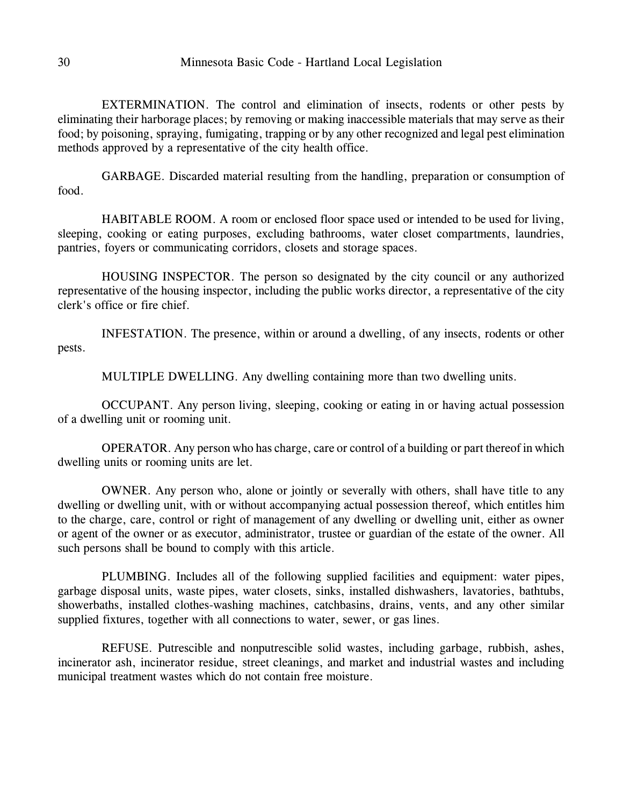## 30 Minnesota Basic Code - Hartland Local Legislation

*EXTERMINATION.* The control and elimination of insects, rodents or other pests by eliminating their harborage places; by removing or making inaccessible materials that may serve as their food; by poisoning, spraying, fumigating, trapping or by any other recognized and legal pest elimination methods approved by a representative of the city health office.

*GARBAGE.* Discarded material resulting from the handling, preparation or consumption of food.

*HABITABLE ROOM.* A room or enclosed floor space used or intended to be used for living, sleeping, cooking or eating purposes, excluding bathrooms, water closet compartments, laundries, pantries, foyers or communicating corridors, closets and storage spaces.

*HOUSING INSPECTOR.* The person so designated by the city council or any authorized representative of the housing inspector, including the public works director, a representative of the city clerk's office or fire chief.

*INFESTATION.* The presence, within or around a dwelling, of any insects, rodents or other pests.

*MULTIPLE DWELLING.* Any dwelling containing more than two dwelling units.

*OCCUPANT.* Any person living, sleeping, cooking or eating in or having actual possession of a dwelling unit or rooming unit.

*OPERATOR.* Any person who has charge, care or control of a building or part thereof in which dwelling units or rooming units are let.

*OWNER.* Any person who, alone or jointly or severally with others, shall have title to any dwelling or dwelling unit, with or without accompanying actual possession thereof, which entitles him to the charge, care, control or right of management of any dwelling or dwelling unit, either as owner or agent of the owner or as executor, administrator, trustee or guardian of the estate of the owner. All such persons shall be bound to comply with this article.

*PLUMBING.* Includes all of the following supplied facilities and equipment: water pipes, garbage disposal units, waste pipes, water closets, sinks, installed dishwashers, lavatories, bathtubs, showerbaths, installed clothes-washing machines, catchbasins, drains, vents, and any other similar supplied fixtures, together with all connections to water, sewer, or gas lines.

*REFUSE.* Putrescible and nonputrescible solid wastes, including garbage, rubbish, ashes, incinerator ash, incinerator residue, street cleanings, and market and industrial wastes and including municipal treatment wastes which do not contain free moisture.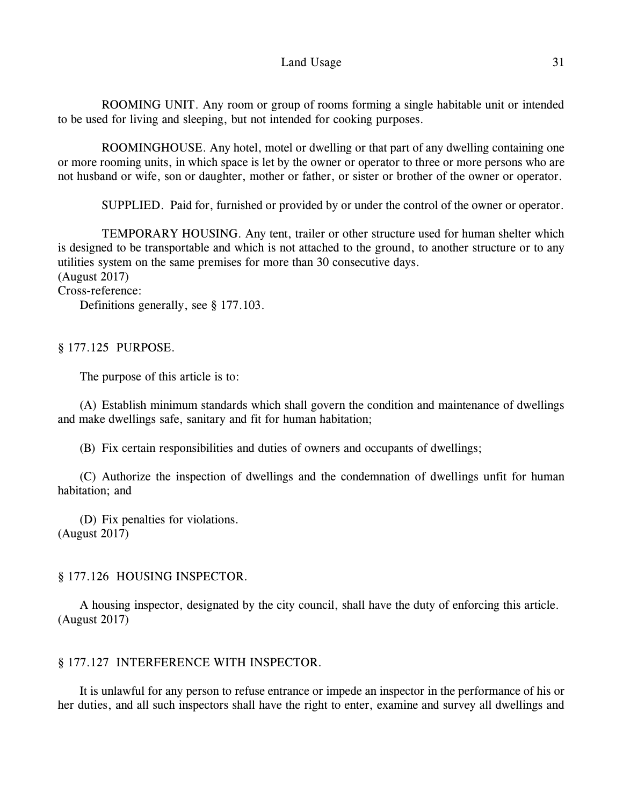*ROOMING UNIT.* Any room or group of rooms forming a single habitable unit or intended to be used for living and sleeping, but not intended for cooking purposes.

*ROOMINGHOUSE.* Any hotel, motel or dwelling or that part of any dwelling containing one or more rooming units, in which space is let by the owner or operator to three or more persons who are not husband or wife, son or daughter, mother or father, or sister or brother of the owner or operator.

*SUPPLIED.* Paid for, furnished or provided by or under the control of the owner or operator.

*TEMPORARY HOUSING.* Any tent, trailer or other structure used for human shelter which is designed to be transportable and which is not attached to the ground, to another structure or to any utilities system on the same premises for more than 30 consecutive days.

(August 2017)

*Cross-reference:*

*Definitions generally, see § 177.103.* 

## § 177.125 PURPOSE.

The purpose of this article is to:

(A) Establish minimum standards which shall govern the condition and maintenance of dwellings and make dwellings safe, sanitary and fit for human habitation;

(B) Fix certain responsibilities and duties of owners and occupants of dwellings;

(C) Authorize the inspection of dwellings and the condemnation of dwellings unfit for human habitation; and

(D) Fix penalties for violations. (August 2017)

## § 177.126 HOUSING INSPECTOR.

A housing inspector, designated by the city council, shall have the duty of enforcing this article. (August 2017)

# § 177.127 INTERFERENCE WITH INSPECTOR.

It is unlawful for any person to refuse entrance or impede an inspector in the performance of his or her duties, and all such inspectors shall have the right to enter, examine and survey all dwellings and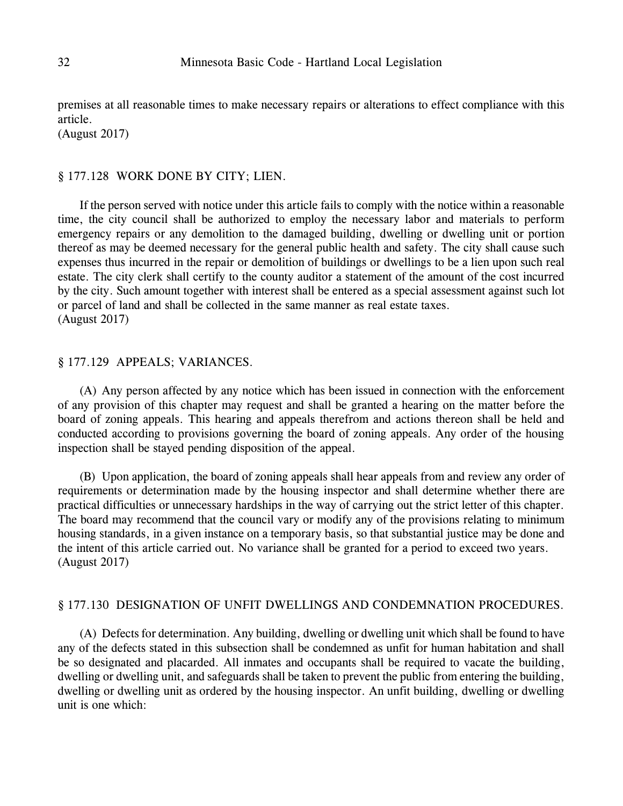premises at all reasonable times to make necessary repairs or alterations to effect compliance with this article.

(August 2017)

#### § 177.128 WORK DONE BY CITY; LIEN.

If the person served with notice under this article fails to comply with the notice within a reasonable time, the city council shall be authorized to employ the necessary labor and materials to perform emergency repairs or any demolition to the damaged building, dwelling or dwelling unit or portion thereof as may be deemed necessary for the general public health and safety. The city shall cause such expenses thus incurred in the repair or demolition of buildings or dwellings to be a lien upon such real estate. The city clerk shall certify to the county auditor a statement of the amount of the cost incurred by the city. Such amount together with interest shall be entered as a special assessment against such lot or parcel of land and shall be collected in the same manner as real estate taxes. (August 2017)

## § 177.129 APPEALS; VARIANCES.

(A) Any person affected by any notice which has been issued in connection with the enforcement of any provision of this chapter may request and shall be granted a hearing on the matter before the board of zoning appeals. This hearing and appeals therefrom and actions thereon shall be held and conducted according to provisions governing the board of zoning appeals. Any order of the housing inspection shall be stayed pending disposition of the appeal.

(B) Upon application, the board of zoning appeals shall hear appeals from and review any order of requirements or determination made by the housing inspector and shall determine whether there are practical difficulties or unnecessary hardships in the way of carrying out the strict letter of this chapter. The board may recommend that the council vary or modify any of the provisions relating to minimum housing standards, in a given instance on a temporary basis, so that substantial justice may be done and the intent of this article carried out. No variance shall be granted for a period to exceed two years. (August 2017)

## § 177.130 DESIGNATION OF UNFIT DWELLINGS AND CONDEMNATION PROCEDURES.

(A) *Defects for determination.* Any building, dwelling or dwelling unit which shall be found to have any of the defects stated in this subsection shall be condemned as unfit for human habitation and shall be so designated and placarded. All inmates and occupants shall be required to vacate the building, dwelling or dwelling unit, and safeguards shall be taken to prevent the public from entering the building, dwelling or dwelling unit as ordered by the housing inspector. An unfit building, dwelling or dwelling unit is one which: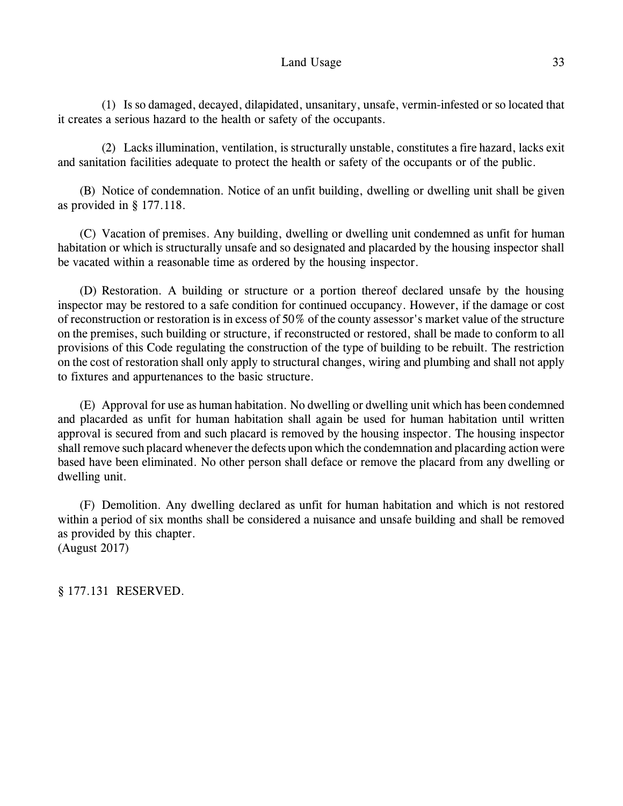## Land Usage 33

(1) Is so damaged, decayed, dilapidated, unsanitary, unsafe, vermin-infested or so located that it creates a serious hazard to the health or safety of the occupants.

(2) Lacks illumination, ventilation, is structurally unstable, constitutes a fire hazard, lacks exit and sanitation facilities adequate to protect the health or safety of the occupants or of the public.

(B) *Notice of condemnation.* Notice of an unfit building, dwelling or dwelling unit shall be given as provided in § 177.118.

(C) *Vacation of premises.* Any building, dwelling or dwelling unit condemned as unfit for human habitation or which is structurally unsafe and so designated and placarded by the housing inspector shall be vacated within a reasonable time as ordered by the housing inspector.

(D) *Restoration.* A building or structure or a portion thereof declared unsafe by the housing inspector may be restored to a safe condition for continued occupancy. However, if the damage or cost of reconstruction or restoration is in excess of 50% of the county assessor's market value of the structure on the premises, such building or structure, if reconstructed or restored, shall be made to conform to all provisions of this Code regulating the construction of the type of building to be rebuilt. The restriction on the cost of restoration shall only apply to structural changes, wiring and plumbing and shall not apply to fixtures and appurtenances to the basic structure.

(E) *Approval for use as human habitation.* No dwelling or dwelling unit which has been condemned and placarded as unfit for human habitation shall again be used for human habitation until written approval is secured from and such placard is removed by the housing inspector. The housing inspector shall remove such placard whenever the defects upon which the condemnation and placarding action were based have been eliminated. No other person shall deface or remove the placard from any dwelling or dwelling unit.

(F) *Demolition.* Any dwelling declared as unfit for human habitation and which is not restored within a period of six months shall be considered a nuisance and unsafe building and shall be removed as provided by this chapter. (August 2017)

§ 177.131 RESERVED.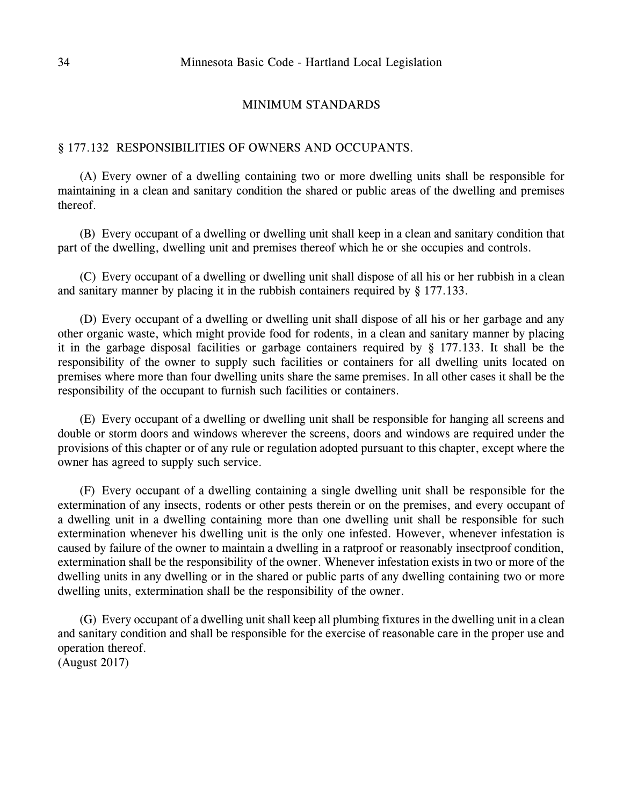#### *MINIMUM STANDARDS*

#### § 177.132 RESPONSIBILITIES OF OWNERS AND OCCUPANTS.

(A) Every owner of a dwelling containing two or more dwelling units shall be responsible for maintaining in a clean and sanitary condition the shared or public areas of the dwelling and premises thereof.

(B) Every occupant of a dwelling or dwelling unit shall keep in a clean and sanitary condition that part of the dwelling, dwelling unit and premises thereof which he or she occupies and controls.

(C) Every occupant of a dwelling or dwelling unit shall dispose of all his or her rubbish in a clean and sanitary manner by placing it in the rubbish containers required by § 177.133.

(D) Every occupant of a dwelling or dwelling unit shall dispose of all his or her garbage and any other organic waste, which might provide food for rodents, in a clean and sanitary manner by placing it in the garbage disposal facilities or garbage containers required by § 177.133. It shall be the responsibility of the owner to supply such facilities or containers for all dwelling units located on premises where more than four dwelling units share the same premises. In all other cases it shall be the responsibility of the occupant to furnish such facilities or containers.

(E) Every occupant of a dwelling or dwelling unit shall be responsible for hanging all screens and double or storm doors and windows wherever the screens, doors and windows are required under the provisions of this chapter or of any rule or regulation adopted pursuant to this chapter, except where the owner has agreed to supply such service.

(F) Every occupant of a dwelling containing a single dwelling unit shall be responsible for the extermination of any insects, rodents or other pests therein or on the premises, and every occupant of a dwelling unit in a dwelling containing more than one dwelling unit shall be responsible for such extermination whenever his dwelling unit is the only one infested. However, whenever infestation is caused by failure of the owner to maintain a dwelling in a ratproof or reasonably insectproof condition, extermination shall be the responsibility of the owner. Whenever infestation exists in two or more of the dwelling units in any dwelling or in the shared or public parts of any dwelling containing two or more dwelling units, extermination shall be the responsibility of the owner.

(G) Every occupant of a dwelling unit shall keep all plumbing fixtures in the dwelling unit in a clean and sanitary condition and shall be responsible for the exercise of reasonable care in the proper use and operation thereof.

(August 2017)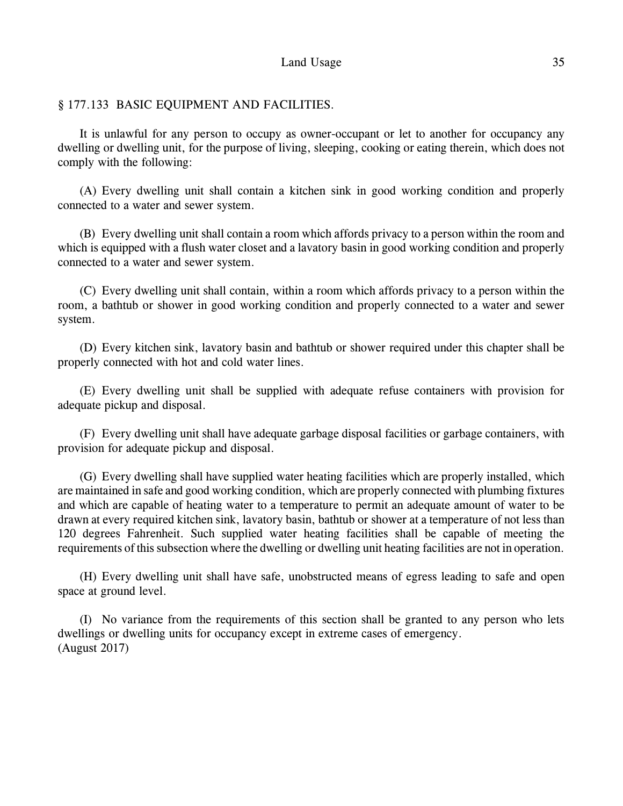## Land Usage 35

## § 177.133 BASIC EQUIPMENT AND FACILITIES.

It is unlawful for any person to occupy as owner-occupant or let to another for occupancy any dwelling or dwelling unit, for the purpose of living, sleeping, cooking or eating therein, which does not comply with the following:

(A) Every dwelling unit shall contain a kitchen sink in good working condition and properly connected to a water and sewer system.

(B) Every dwelling unit shall contain a room which affords privacy to a person within the room and which is equipped with a flush water closet and a lavatory basin in good working condition and properly connected to a water and sewer system.

(C) Every dwelling unit shall contain, within a room which affords privacy to a person within the room, a bathtub or shower in good working condition and properly connected to a water and sewer system.

(D) Every kitchen sink, lavatory basin and bathtub or shower required under this chapter shall be properly connected with hot and cold water lines.

(E) Every dwelling unit shall be supplied with adequate refuse containers with provision for adequate pickup and disposal.

(F) Every dwelling unit shall have adequate garbage disposal facilities or garbage containers, with provision for adequate pickup and disposal.

(G) Every dwelling shall have supplied water heating facilities which are properly installed, which are maintained in safe and good working condition, which are properly connected with plumbing fixtures and which are capable of heating water to a temperature to permit an adequate amount of water to be drawn at every required kitchen sink, lavatory basin, bathtub or shower at a temperature of not less than 120 degrees Fahrenheit. Such supplied water heating facilities shall be capable of meeting the requirements of this subsection where the dwelling or dwelling unit heating facilities are not in operation.

(H) Every dwelling unit shall have safe, unobstructed means of egress leading to safe and open space at ground level.

(I) No variance from the requirements of this section shall be granted to any person who lets dwellings or dwelling units for occupancy except in extreme cases of emergency. (August 2017)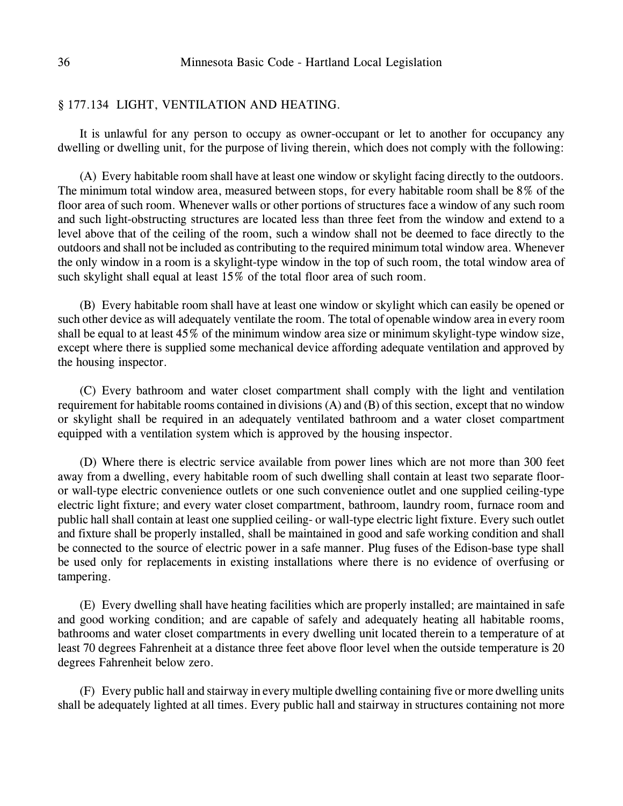#### § 177.134 LIGHT, VENTILATION AND HEATING.

It is unlawful for any person to occupy as owner-occupant or let to another for occupancy any dwelling or dwelling unit, for the purpose of living therein, which does not comply with the following:

(A) Every habitable room shall have at least one window or skylight facing directly to the outdoors. The minimum total window area, measured between stops, for every habitable room shall be 8% of the floor area of such room. Whenever walls or other portions of structures face a window of any such room and such light-obstructing structures are located less than three feet from the window and extend to a level above that of the ceiling of the room, such a window shall not be deemed to face directly to the outdoors and shall not be included as contributing to the required minimum total window area. Whenever the only window in a room is a skylight-type window in the top of such room, the total window area of such skylight shall equal at least 15% of the total floor area of such room.

(B) Every habitable room shall have at least one window or skylight which can easily be opened or such other device as will adequately ventilate the room. The total of openable window area in every room shall be equal to at least 45% of the minimum window area size or minimum skylight-type window size, except where there is supplied some mechanical device affording adequate ventilation and approved by the housing inspector.

(C) Every bathroom and water closet compartment shall comply with the light and ventilation requirement for habitable rooms contained in divisions (A) and (B) of this section, except that no window or skylight shall be required in an adequately ventilated bathroom and a water closet compartment equipped with a ventilation system which is approved by the housing inspector.

(D) Where there is electric service available from power lines which are not more than 300 feet away from a dwelling, every habitable room of such dwelling shall contain at least two separate flooror wall-type electric convenience outlets or one such convenience outlet and one supplied ceiling-type electric light fixture; and every water closet compartment, bathroom, laundry room, furnace room and public hall shall contain at least one supplied ceiling- or wall-type electric light fixture. Every such outlet and fixture shall be properly installed, shall be maintained in good and safe working condition and shall be connected to the source of electric power in a safe manner. Plug fuses of the Edison-base type shall be used only for replacements in existing installations where there is no evidence of overfusing or tampering.

(E) Every dwelling shall have heating facilities which are properly installed; are maintained in safe and good working condition; and are capable of safely and adequately heating all habitable rooms, bathrooms and water closet compartments in every dwelling unit located therein to a temperature of at least 70 degrees Fahrenheit at a distance three feet above floor level when the outside temperature is 20 degrees Fahrenheit below zero.

(F) Every public hall and stairway in every multiple dwelling containing five or more dwelling units shall be adequately lighted at all times. Every public hall and stairway in structures containing not more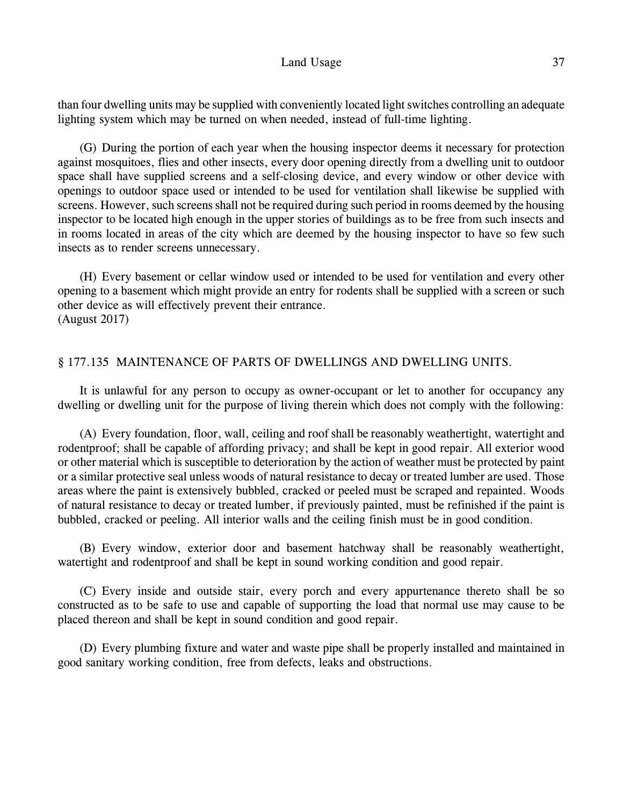than four dwelling units may be supplied with conveniently located light switches controlling an adequate lighting system which may be turned on when needed, instead of full-time lighting.

(G) During the portion of each year when the housing inspector deems it necessary for protection against mosquitoes, flies and other insects, every door opening directly from a dwelling unit to outdoor space shall have supplied screens and a self-closing device, and every window or other device with openings to outdoor space used or intended to be used for ventilation shall likewise be supplied with screens. However, such screens shall not be required during such period in rooms deemed by the housing inspector to be located high enough in the upper stories of buildings as to be free from such insects and in rooms located in areas of the city which are deemed by the housing inspector to have so few such insects as to render screens unnecessary.

(H) Every basement or cellar window used or intended to be used for ventilation and every other opening to a basement which might provide an entry for rodents shall be supplied with a screen or such other device as will effectively prevent their entrance. (August 2017)

# § 177.135 MAINTENANCE OF PARTS OF DWELLINGS AND DWELLING UNITS.

It is unlawful for any person to occupy as owner-occupant or let to another for occupancy any dwelling or dwelling unit for the purpose of living therein which does not comply with the following:

(A) Every foundation, floor, wall, ceiling and roof shall be reasonably weathertight, watertight and rodentproof; shall be capable of affording privacy; and shall be kept in good repair. All exterior wood or other material which is susceptible to deterioration by the action of weather must be protected by paint or a similar protective seal unless woods of natural resistance to decay or treated lumber are used. Those areas where the paint is extensively bubbled, cracked or peeled must be scraped and repainted. Woods of natural resistance to decay or treated lumber, if previously painted, must be refinished if the paint is bubbled, cracked or peeling. All interior walls and the ceiling finish must be in good condition.

(B) Every window, exterior door and basement hatchway shall be reasonably weathertight, watertight and rodentproof and shall be kept in sound working condition and good repair.

(C) Every inside and outside stair, every porch and every appurtenance thereto shall be so constructed as to be safe to use and capable of supporting the load that normal use may cause to be placed thereon and shall be kept in sound condition and good repair.

(D) Every plumbing fixture and water and waste pipe shall be properly installed and maintained in good sanitary working condition, free from defects, leaks and obstructions.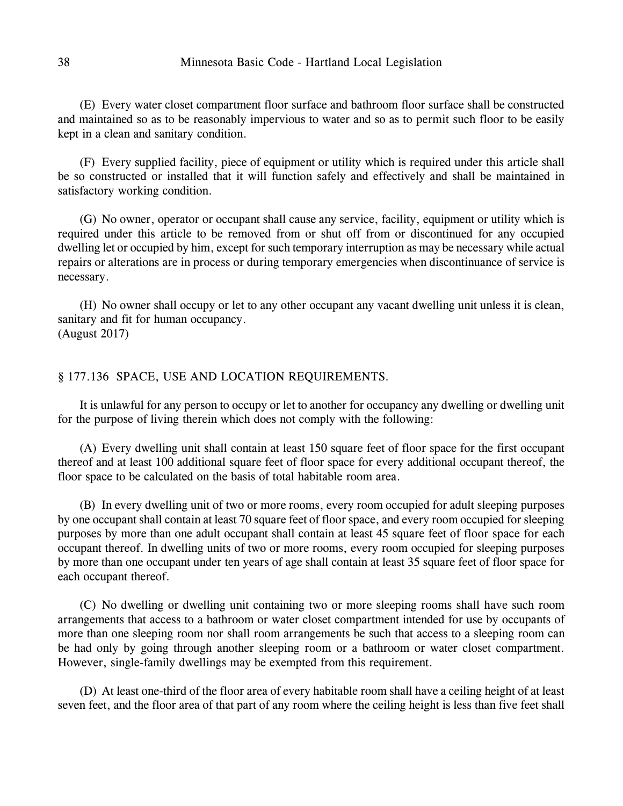(E) Every water closet compartment floor surface and bathroom floor surface shall be constructed and maintained so as to be reasonably impervious to water and so as to permit such floor to be easily kept in a clean and sanitary condition.

(F) Every supplied facility, piece of equipment or utility which is required under this article shall be so constructed or installed that it will function safely and effectively and shall be maintained in satisfactory working condition.

(G) No owner, operator or occupant shall cause any service, facility, equipment or utility which is required under this article to be removed from or shut off from or discontinued for any occupied dwelling let or occupied by him, except for such temporary interruption as may be necessary while actual repairs or alterations are in process or during temporary emergencies when discontinuance of service is necessary.

(H) No owner shall occupy or let to any other occupant any vacant dwelling unit unless it is clean, sanitary and fit for human occupancy. (August 2017)

## § 177.136 SPACE, USE AND LOCATION REQUIREMENTS.

It is unlawful for any person to occupy or let to another for occupancy any dwelling or dwelling unit for the purpose of living therein which does not comply with the following:

(A) Every dwelling unit shall contain at least 150 square feet of floor space for the first occupant thereof and at least 100 additional square feet of floor space for every additional occupant thereof, the floor space to be calculated on the basis of total habitable room area.

(B) In every dwelling unit of two or more rooms, every room occupied for adult sleeping purposes by one occupant shall contain at least 70 square feet of floor space, and every room occupied for sleeping purposes by more than one adult occupant shall contain at least 45 square feet of floor space for each occupant thereof. In dwelling units of two or more rooms, every room occupied for sleeping purposes by more than one occupant under ten years of age shall contain at least 35 square feet of floor space for each occupant thereof.

(C) No dwelling or dwelling unit containing two or more sleeping rooms shall have such room arrangements that access to a bathroom or water closet compartment intended for use by occupants of more than one sleeping room nor shall room arrangements be such that access to a sleeping room can be had only by going through another sleeping room or a bathroom or water closet compartment. However, single-family dwellings may be exempted from this requirement.

(D) At least one-third of the floor area of every habitable room shall have a ceiling height of at least seven feet, and the floor area of that part of any room where the ceiling height is less than five feet shall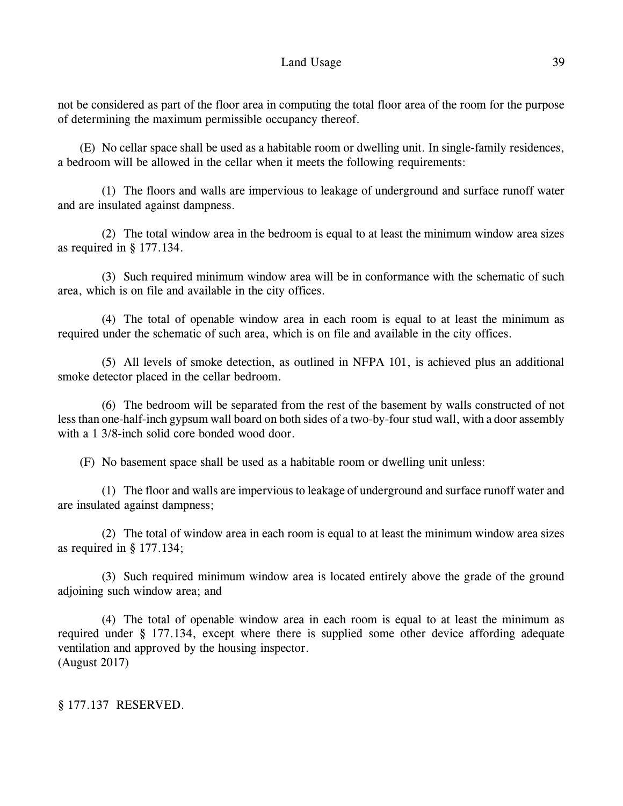not be considered as part of the floor area in computing the total floor area of the room for the purpose of determining the maximum permissible occupancy thereof.

(E) No cellar space shall be used as a habitable room or dwelling unit. In single-family residences, a bedroom will be allowed in the cellar when it meets the following requirements:

(1) The floors and walls are impervious to leakage of underground and surface runoff water and are insulated against dampness.

(2) The total window area in the bedroom is equal to at least the minimum window area sizes as required in § 177.134.

(3) Such required minimum window area will be in conformance with the schematic of such area, which is on file and available in the city offices.

(4) The total of openable window area in each room is equal to at least the minimum as required under the schematic of such area, which is on file and available in the city offices.

(5) All levels of smoke detection, as outlined in NFPA 101, is achieved plus an additional smoke detector placed in the cellar bedroom.

(6) The bedroom will be separated from the rest of the basement by walls constructed of not less than one-half-inch gypsum wall board on both sides of a two-by-four stud wall, with a door assembly with a 1 3/8-inch solid core bonded wood door.

(F) No basement space shall be used as a habitable room or dwelling unit unless:

(1) The floor and walls are impervious to leakage of underground and surface runoff water and are insulated against dampness;

(2) The total of window area in each room is equal to at least the minimum window area sizes as required in § 177.134;

(3) Such required minimum window area is located entirely above the grade of the ground adjoining such window area; and

(4) The total of openable window area in each room is equal to at least the minimum as required under § 177.134, except where there is supplied some other device affording adequate ventilation and approved by the housing inspector. (August 2017)

§ 177.137 RESERVED.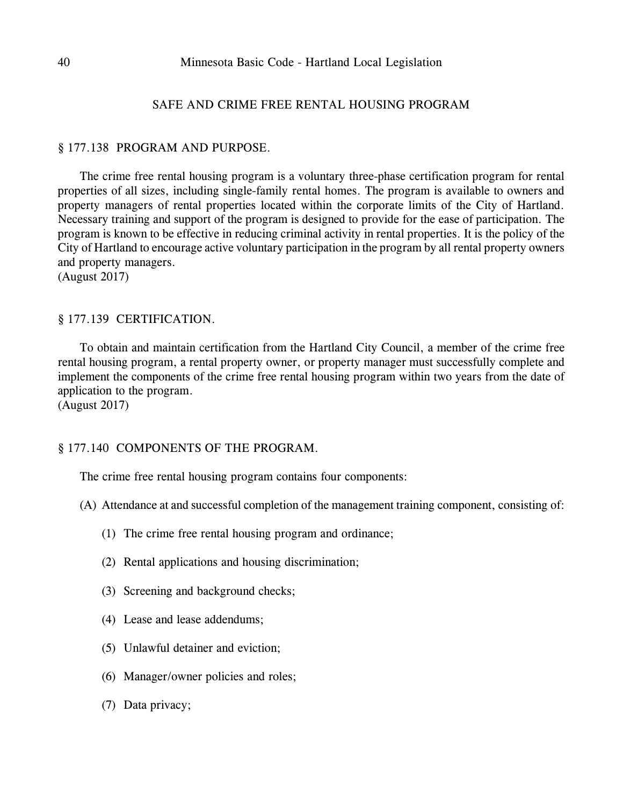#### *SAFE AND CRIME FREE RENTAL HOUSING PROGRAM*

#### § 177.138 PROGRAM AND PURPOSE.

The crime free rental housing program is a voluntary three-phase certification program for rental properties of all sizes, including single-family rental homes. The program is available to owners and property managers of rental properties located within the corporate limits of the City of Hartland. Necessary training and support of the program is designed to provide for the ease of participation. The program is known to be effective in reducing criminal activity in rental properties. It is the policy of the City of Hartland to encourage active voluntary participation in the program by all rental property owners and property managers.

(August 2017)

## § 177.139 CERTIFICATION.

To obtain and maintain certification from the Hartland City Council, a member of the crime free rental housing program, a rental property owner, or property manager must successfully complete and implement the components of the crime free rental housing program within two years from the date of application to the program.

(August 2017)

## § 177.140 COMPONENTS OF THE PROGRAM.

The crime free rental housing program contains four components:

- (A) Attendance at and successful completion of the management training component, consisting of:
	- (1) The crime free rental housing program and ordinance;
	- (2) Rental applications and housing discrimination;
	- (3) Screening and background checks;
	- (4) Lease and lease addendums;
	- (5) Unlawful detainer and eviction;
	- (6) Manager/owner policies and roles;
	- (7) Data privacy;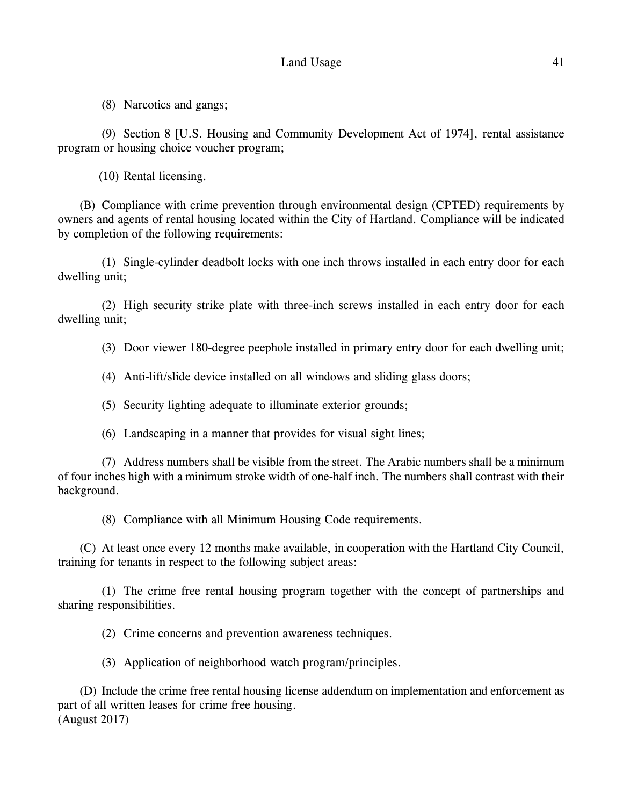(8) Narcotics and gangs;

(9) Section 8 [U.S. Housing and Community Development Act of 1974], rental assistance program or housing choice voucher program;

(10) Rental licensing.

(B) Compliance with crime prevention through environmental design (CPTED) requirements by owners and agents of rental housing located within the City of Hartland. Compliance will be indicated by completion of the following requirements:

(1) Single-cylinder deadbolt locks with one inch throws installed in each entry door for each dwelling unit;

(2) High security strike plate with three-inch screws installed in each entry door for each dwelling unit;

(3) Door viewer 180-degree peephole installed in primary entry door for each dwelling unit;

(4) Anti-lift/slide device installed on all windows and sliding glass doors;

(5) Security lighting adequate to illuminate exterior grounds;

(6) Landscaping in a manner that provides for visual sight lines;

(7) Address numbers shall be visible from the street. The Arabic numbers shall be a minimum of four inches high with a minimum stroke width of one-half inch. The numbers shall contrast with their background.

(8) Compliance with all Minimum Housing Code requirements.

(C) At least once every 12 months make available, in cooperation with the Hartland City Council, training for tenants in respect to the following subject areas:

(1) The crime free rental housing program together with the concept of partnerships and sharing responsibilities.

(2) Crime concerns and prevention awareness techniques.

(3) Application of neighborhood watch program/principles.

(D) Include the crime free rental housing license addendum on implementation and enforcement as part of all written leases for crime free housing. (August 2017)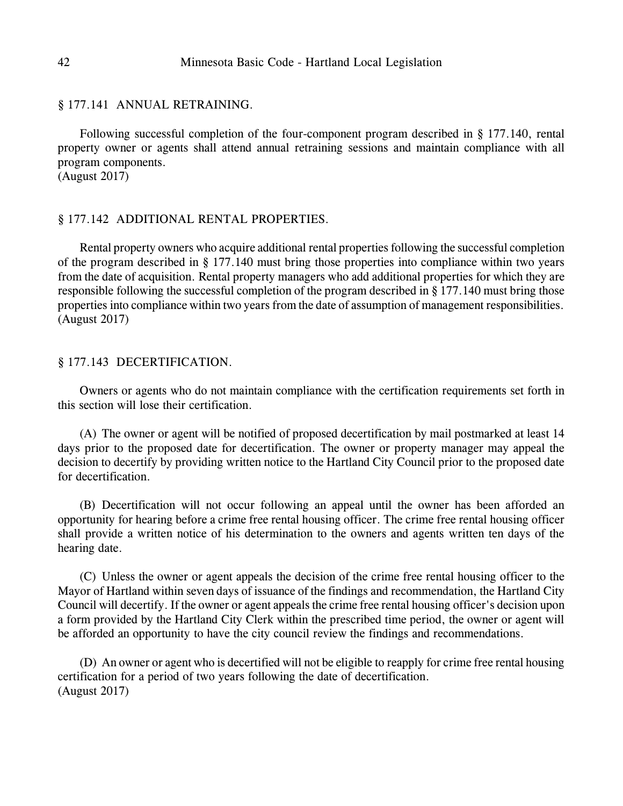#### § 177.141 ANNUAL RETRAINING.

Following successful completion of the four-component program described in § 177.140, rental property owner or agents shall attend annual retraining sessions and maintain compliance with all program components. (August 2017)

#### § 177.142 ADDITIONAL RENTAL PROPERTIES.

Rental property owners who acquire additional rental properties following the successful completion of the program described in § 177.140 must bring those properties into compliance within two years from the date of acquisition. Rental property managers who add additional properties for which they are responsible following the successful completion of the program described in § 177.140 must bring those properties into compliance within two years from the date of assumption of management responsibilities. (August 2017)

#### § 177.143 DECERTIFICATION.

Owners or agents who do not maintain compliance with the certification requirements set forth in this section will lose their certification.

(A) The owner or agent will be notified of proposed decertification by mail postmarked at least 14 days prior to the proposed date for decertification. The owner or property manager may appeal the decision to decertify by providing written notice to the Hartland City Council prior to the proposed date for decertification.

(B) Decertification will not occur following an appeal until the owner has been afforded an opportunity for hearing before a crime free rental housing officer. The crime free rental housing officer shall provide a written notice of his determination to the owners and agents written ten days of the hearing date.

(C) Unless the owner or agent appeals the decision of the crime free rental housing officer to the Mayor of Hartland within seven days of issuance of the findings and recommendation, the Hartland City Council will decertify. If the owner or agent appeals the crime free rental housing officer's decision upon a form provided by the Hartland City Clerk within the prescribed time period, the owner or agent will be afforded an opportunity to have the city council review the findings and recommendations.

(D) An owner or agent who is decertified will not be eligible to reapply for crime free rental housing certification for a period of two years following the date of decertification. (August 2017)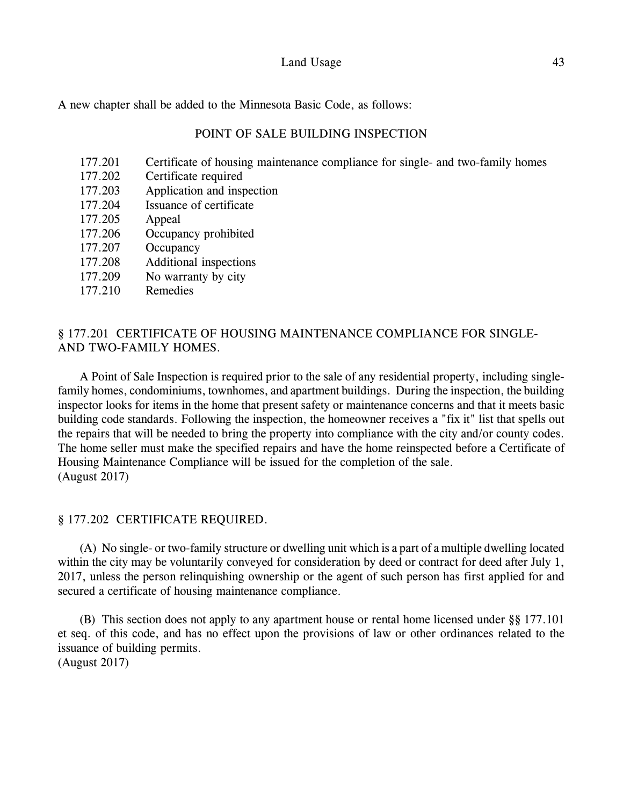A new chapter shall be added to the Minnesota Basic Code, as follows:

## *POINT OF SALE BUILDING INSPECTION*

- 177.201 Certificate of housing maintenance compliance for single- and two-family homes
- 177.202 Certificate required
- 177.203 Application and inspection
- 177.204 Issuance of certificate
- 177.205 Appeal
- 177.206 Occupancy prohibited
- 177.207 Occupancy
- 177.208 Additional inspections
- 177.209 No warranty by city
- 177.210 Remedies

# § 177.201 CERTIFICATE OF HOUSING MAINTENANCE COMPLIANCE FOR SINGLE-AND TWO-FAMILY HOMES.

A Point of Sale Inspection is required prior to the sale of any residential property, including singlefamily homes, condominiums, townhomes, and apartment buildings. During the inspection, the building inspector looks for items in the home that present safety or maintenance concerns and that it meets basic building code standards. Following the inspection, the homeowner receives a "fix it" list that spells out the repairs that will be needed to bring the property into compliance with the city and/or county codes. The home seller must make the specified repairs and have the home reinspected before a Certificate of Housing Maintenance Compliance will be issued for the completion of the sale. (August 2017)

# § 177.202 CERTIFICATE REQUIRED.

(A) No single- or two-family structure or dwelling unit which is a part of a multiple dwelling located within the city may be voluntarily conveyed for consideration by deed or contract for deed after July 1, 2017, unless the person relinquishing ownership or the agent of such person has first applied for and secured a certificate of housing maintenance compliance.

(B) This section does not apply to any apartment house or rental home licensed under §§ 177.101 *et seq.* of this code, and has no effect upon the provisions of law or other ordinances related to the issuance of building permits.

(August 2017)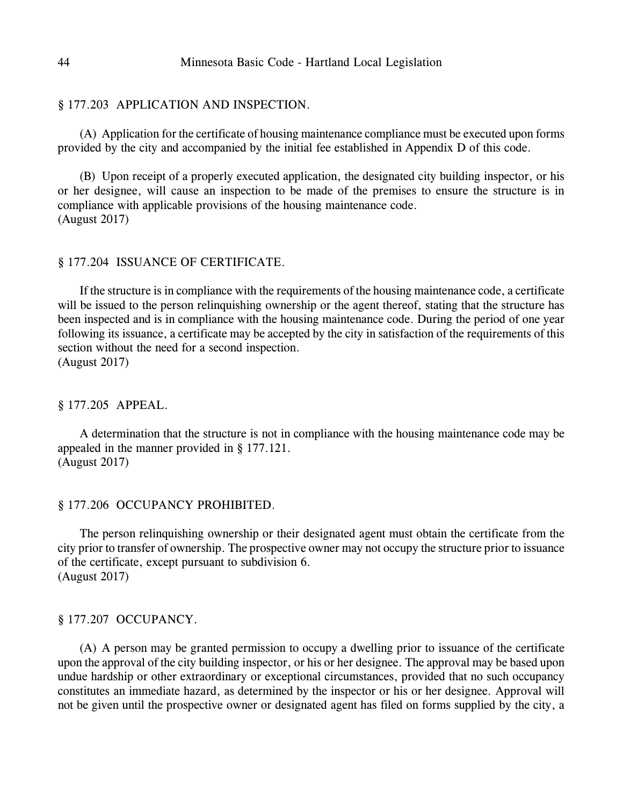#### § 177.203 APPLICATION AND INSPECTION.

(A) Application for the certificate of housing maintenance compliance must be executed upon forms provided by the city and accompanied by the initial fee established in Appendix D of this code.

(B) Upon receipt of a properly executed application, the designated city building inspector, or his or her designee, will cause an inspection to be made of the premises to ensure the structure is in compliance with applicable provisions of the housing maintenance code. (August 2017)

#### § 177.204 ISSUANCE OF CERTIFICATE.

If the structure is in compliance with the requirements of the housing maintenance code, a certificate will be issued to the person relinquishing ownership or the agent thereof, stating that the structure has been inspected and is in compliance with the housing maintenance code. During the period of one year following its issuance, a certificate may be accepted by the city in satisfaction of the requirements of this section without the need for a second inspection. (August 2017)

§ 177.205 APPEAL.

A determination that the structure is not in compliance with the housing maintenance code may be appealed in the manner provided in § 177.121. (August 2017)

#### § 177.206 OCCUPANCY PROHIBITED.

The person relinquishing ownership or their designated agent must obtain the certificate from the city prior to transfer of ownership. The prospective owner may not occupy the structure prior to issuance of the certificate, except pursuant to subdivision 6. (August 2017)

#### § 177.207 OCCUPANCY.

(A) A person may be granted permission to occupy a dwelling prior to issuance of the certificate upon the approval of the city building inspector, or his or her designee. The approval may be based upon undue hardship or other extraordinary or exceptional circumstances, provided that no such occupancy constitutes an immediate hazard, as determined by the inspector or his or her designee. Approval will not be given until the prospective owner or designated agent has filed on forms supplied by the city, a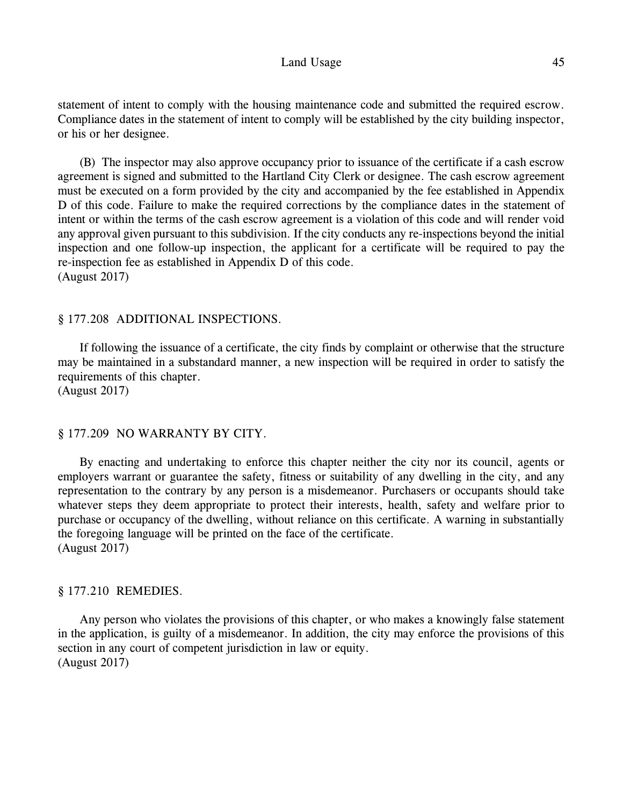#### Land Usage 45

statement of intent to comply with the housing maintenance code and submitted the required escrow. Compliance dates in the statement of intent to comply will be established by the city building inspector, or his or her designee.

(B) The inspector may also approve occupancy prior to issuance of the certificate if a cash escrow agreement is signed and submitted to the Hartland City Clerk or designee. The cash escrow agreement must be executed on a form provided by the city and accompanied by the fee established in Appendix D of this code. Failure to make the required corrections by the compliance dates in the statement of intent or within the terms of the cash escrow agreement is a violation of this code and will render void any approval given pursuant to this subdivision. If the city conducts any re-inspections beyond the initial inspection and one follow-up inspection, the applicant for a certificate will be required to pay the re-inspection fee as established in Appendix D of this code. (August 2017)

#### § 177.208 ADDITIONAL INSPECTIONS.

If following the issuance of a certificate, the city finds by complaint or otherwise that the structure may be maintained in a substandard manner, a new inspection will be required in order to satisfy the requirements of this chapter.

(August 2017)

## § 177.209 NO WARRANTY BY CITY.

By enacting and undertaking to enforce this chapter neither the city nor its council, agents or employers warrant or guarantee the safety, fitness or suitability of any dwelling in the city, and any representation to the contrary by any person is a misdemeanor. Purchasers or occupants should take whatever steps they deem appropriate to protect their interests, health, safety and welfare prior to purchase or occupancy of the dwelling, without reliance on this certificate. A warning in substantially the foregoing language will be printed on the face of the certificate. (August 2017)

#### § 177.210 REMEDIES.

Any person who violates the provisions of this chapter, or who makes a knowingly false statement in the application, is guilty of a misdemeanor. In addition, the city may enforce the provisions of this section in any court of competent jurisdiction in law or equity. (August 2017)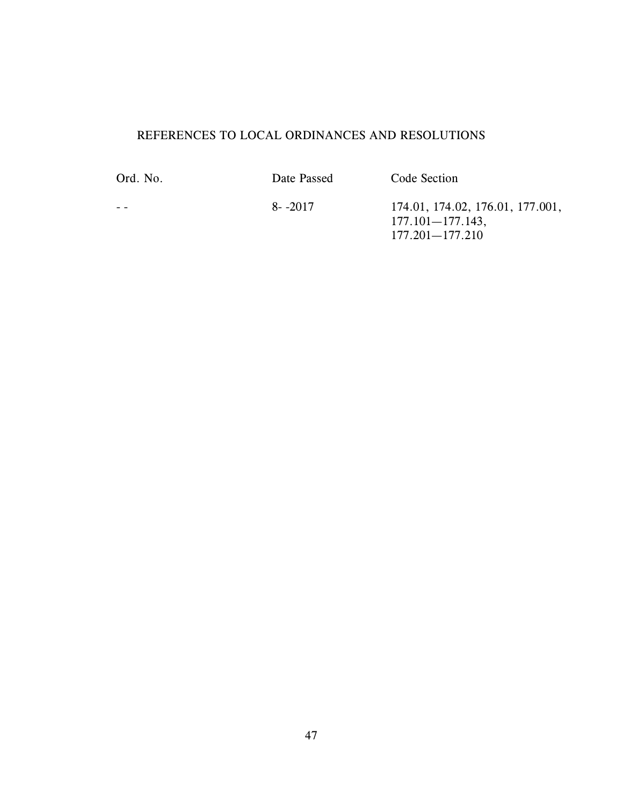# REFERENCES TO LOCAL ORDINANCES AND RESOLUTIONS

*Ord. No. Date Passed Code Section*

- - 8- -2017 174.01, 174.02, 176.01, 177.001, 177.101—177.143, 177.201—177.210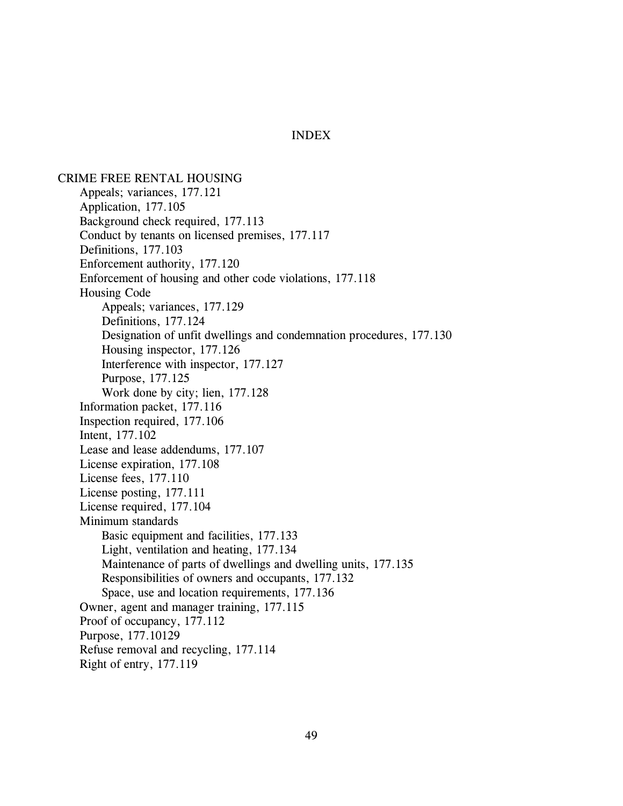## INDEX

CRIME FREE RENTAL HOUSING Appeals; variances, 177.121 Application, 177.105 Background check required, 177.113 Conduct by tenants on licensed premises, 177.117 Definitions, 177.103 Enforcement authority, 177.120 Enforcement of housing and other code violations, 177.118 Housing Code Appeals; variances, 177.129 Definitions, 177.124 Designation of unfit dwellings and condemnation procedures, 177.130 Housing inspector, 177.126 Interference with inspector, 177.127 Purpose, 177.125 Work done by city; lien, 177.128 Information packet, 177.116 Inspection required, 177.106 Intent, 177.102 Lease and lease addendums, 177.107 License expiration, 177.108 License fees, 177.110 License posting, 177.111 License required, 177.104 Minimum standards Basic equipment and facilities, 177.133 Light, ventilation and heating, 177.134 Maintenance of parts of dwellings and dwelling units, 177.135 Responsibilities of owners and occupants, 177.132 Space, use and location requirements, 177.136 Owner, agent and manager training, 177.115 Proof of occupancy, 177.112 Purpose, 177.10129 Refuse removal and recycling, 177.114 Right of entry, 177.119